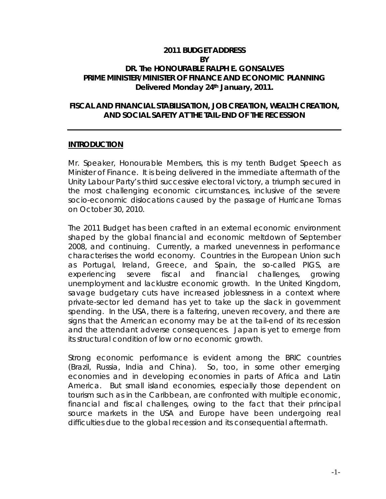#### **2011 BUDGET ADDRESS BY DR. The HONOURABLE RALPH E. GONSALVES PRIME MINISTER/MINISTER OF FINANCE AND ECONOMIC PLANNING Delivered Monday 24th January, 2011.**

#### *FISCAL AND FINANCIAL STABILISATION, JOB CREATION, WEALTH CREATION, AND SOCIAL SAFETY AT THE TAIL-END OF THE RECESSION*

#### **INTRODUCTION**

Mr. Speaker, Honourable Members, this is my tenth Budget Speech as Minister of Finance. It is being delivered in the immediate aftermath of the Unity Labour Party's third successive electoral victory, a triumph secured in the most challenging economic circumstances, inclusive of the severe socio-economic dislocations caused by the passage of Hurricane Tomas on October 30, 2010.

The 2011 Budget has been crafted in an external economic environment shaped by the global financial and economic meltdown of September 2008, and continuing. Currently, a marked unevenness in performance characterises the world economy. Countries in the European Union such as Portugal, Ireland, Greece, and Spain, the so-called PIGS, are experiencing severe fiscal and financial challenges, growing unemployment and lacklustre economic growth. In the United Kingdom, savage budgetary cuts have increased joblessness in a context where private-sector led demand has yet to take up the slack in government spending. In the USA, there is a faltering, uneven recovery, and there are signs that the American economy may be at the tail-end of its recession and the attendant adverse consequences. Japan is yet to emerge from its structural condition of low or no economic growth.

Strong economic performance is evident among the BRIC countries (Brazil, Russia, India and China). So, too, in some other emerging economies and in developing economies in parts of Africa and Latin America. But small island economies, especially those dependent on tourism such as in the Caribbean, are confronted with multiple economic, financial and fiscal challenges, owing to the fact that their principal source markets in the USA and Europe have been undergoing real difficulties due to the global recession and its consequential aftermath.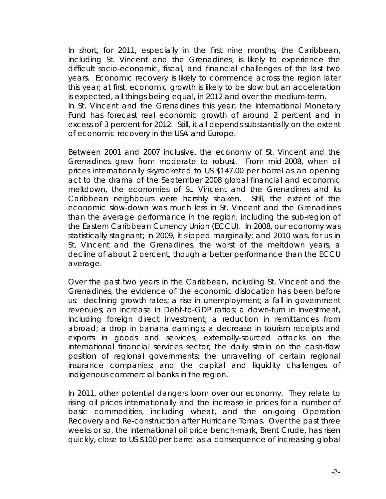In short, for 2011, especially in the first nine months, the Caribbean, including St. Vincent and the Grenadines, is likely to experience the difficult socio-economic, fiscal, and financial challenges of the last two years. Economic recovery is likely to commence across the region later this year; at first, economic growth is likely to be slow but an acceleration is expected, all things being equal, in 2012 and over the medium-term. In St. Vincent and the Grenadines this year, the International Monetary Fund has forecast real economic growth of around 2 percent and in excess of 3 percent for 2012. Still, it all depends substantially on the extent of economic recovery in the USA and Europe.

Between 2001 and 2007 inclusive, the economy of St. Vincent and the Grenadines grew from moderate to robust. From mid-2008, when oil prices internationally skyrocketed to US \$147.00 per barrel as an opening act to the drama of the September 2008 global financial and economic meltdown, the economies of St. Vincent and the Grenadines and its Caribbean neighbours were harshly shaken. Still, the extent of the economic slow-down was much less in St. Vincent and the Grenadines than the average performance in the region, including the sub-region of the Eastern Caribbean Currency Union (ECCU). In 2008, our economy was statistically stagnant; in 2009, it slipped marginally; and 2010 was, for us in St. Vincent and the Grenadines, the worst of the meltdown years, a decline of about 2 percent, though a better performance than the ECCU average.

Over the past two years in the Caribbean, including St. Vincent and the Grenadines, the evidence of the economic dislocation has been before us: declining growth rates; a rise in unemployment; a fall in government revenues; an increase in Debt-to-GDP ratios; a down-turn in investment, including foreign direct investment; a reduction in remittances from abroad; a drop in banana earnings; a decrease in tourism receipts and exports in goods and services; externally-sourced attacks on the international financial services sector; the daily strain on the cash-flow position of regional governments; the unravelling of certain regional insurance companies; and the capital and liquidity challenges of indigenous commercial banks in the region.

In 2011, other potential dangers loom over our economy. They relate to rising oil prices internationally and the increase in prices for a number of basic commodities, including wheat, and the on-going Operation Recovery and Re-construction after Hurricane Tomas. Over the past three weeks or so, the international oil price bench-mark, Brent Crude, has risen quickly, close to US \$100 per barrel as a consequence of increasing global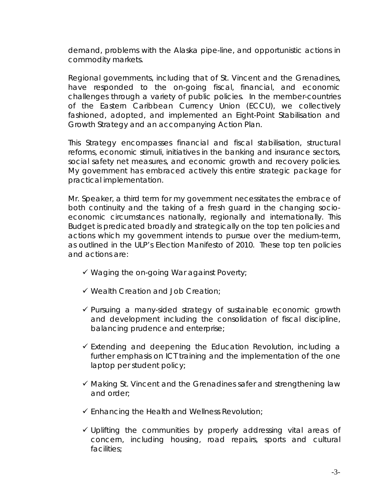demand, problems with the Alaska pipe-line, and opportunistic actions in commodity markets.

Regional governments, including that of St. Vincent and the Grenadines, have responded to the on-going fiscal, financial, and economic challenges through a variety of public policies. In the member-countries of the Eastern Caribbean Currency Union (ECCU), we collectively fashioned, adopted, and implemented an Eight-Point Stabilisation and Growth Strategy and an accompanying Action Plan.

This Strategy encompasses financial and fiscal stabilisation, structural reforms, economic stimuli, initiatives in the banking and insurance sectors, social safety net measures, and economic growth and recovery policies. My government has embraced actively this entire strategic package for practical implementation.

Mr. Speaker, a third term for my government necessitates the embrace of both continuity and the taking of a fresh guard in the changing socioeconomic circumstances nationally, regionally and internationally. This Budget is predicated broadly and strategically on the top ten policies and actions which my government intends to pursue over the medium-term, as outlined in the ULP's Election Manifesto of 2010. These top ten policies and actions are:

- $\checkmark$  Waging the on-going War against Poverty;
- $\checkmark$  Wealth Creation and Job Creation;
- $\checkmark$  Pursuing a many-sided strategy of sustainable economic growth and development including the consolidation of fiscal discipline, balancing prudence and enterprise;
- $\checkmark$  Extending and deepening the Education Revolution, including a further emphasis on ICT training and the implementation of the one laptop per student policy;
- $\checkmark$  Making St. Vincent and the Grenadines safer and strengthening law and order;
- $\checkmark$  Enhancing the Health and Wellness Revolution;
- $\checkmark$  Uplifting the communities by properly addressing vital areas of concern, including housing, road repairs, sports and cultural facilities;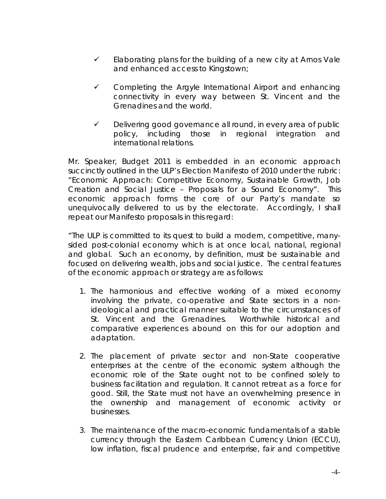- $\checkmark$  Elaborating plans for the building of a new city at Arnos Vale and enhanced access to Kingstown;
- $\checkmark$  Completing the Argyle International Airport and enhancing connectivity in every way between St. Vincent and the Grenadines and the world.
- $\checkmark$  Delivering good governance all round, in every area of public policy, including those in regional integration and international relations.

Mr. Speaker, Budget 2011 is embedded in an economic approach succinctly outlined in the ULP's Election Manifesto of 2010 under the rubric: "Economic Approach: Competitive Economy, Sustainable Growth, Job Creation and Social Justice – Proposals for a Sound Economy". This economic approach forms the core of our Party's mandate so unequivocally delivered to us by the electorate. Accordingly, I shall repeat our Manifesto proposals in this regard:

"The ULP is committed to its quest to build a modern, competitive, manysided post-colonial economy which is at once local, national, regional and global. Such an economy, by definition, must be sustainable and focused on delivering wealth, jobs and social justice. The central features of the economic approach or strategy are as follows:

- 1. The harmonious and effective working of a mixed economy involving the private, co-operative and State sectors in a non ideological and practical manner suitable to the circumstances of St. Vincent and the Grenadines. Worthwhile historical and comparative experiences abound on this for our adoption and adaptation.
- 2. The placement of private sector and non-State cooperative enterprises at the centre of the economic system although the economic role of the State ought not to be confined solely to business facilitation and regulation. It cannot retreat as a force for good. Still, the State must not have an overwhelming presence in the ownership and management of economic activity or businesses.
- 3. The maintenance of the macro-economic fundamentals of a stable currency through the Eastern Caribbean Currency Union (ECCU), low inflation, fiscal prudence and enterprise, fair and competitive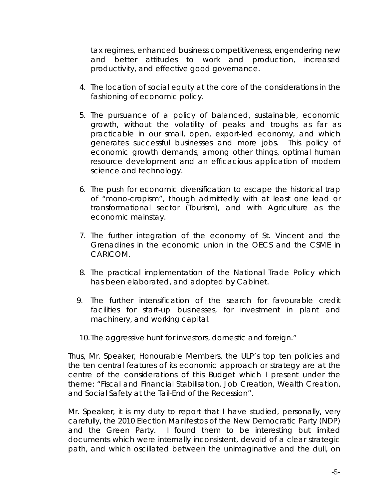tax regimes, enhanced business competitiveness, engendering new and better attitudes to work and production, increased productivity, and effective good governance.

- 4. The location of social equity at the core of the considerations in the fashioning of economic policy.
- 5. The pursuance of a policy of balanced, sustainable, economic growth, without the volatility of peaks and troughs as far as practicable in our small, open, export-led economy, and which generates successful businesses and more jobs. This policy of economic growth demands, among other things, optimal human resource development and an efficacious application of modern science and technology.
- 6. The push for economic diversification to escape the historical trap of "mono-cropism", though admittedly with at least one lead or transformational sector (Tourism), and with Agriculture as the economic mainstay.
- 7. The further integration of the economy of St. Vincent and the Grenadines in the economic union in the OECS and the CSME in CARICOM.
- 8. The practical implementation of the National Trade Policy which has been elaborated, and adopted by Cabinet.
- 9. The further intensification of the search for favourable credit facilities for start-up businesses, for investment in plant and machinery, and working capital.

10. The aggressive hunt for investors, domestic and foreign."

Thus, Mr. Speaker, Honourable Members, the ULP's top ten policies and the ten central features of its economic approach or strategy are at the centre of the considerations of this Budget which I present under the theme: "Fiscal and Financial Stabilisation, Job Creation, Wealth Creation, and Social Safety at the Tail-End of the Recession".

Mr. Speaker, it is my duty to report that I have studied, personally, very carefully, the 2010 Election Manifestos of the New Democratic Party (NDP) and the Green Party. I found them to be interesting but limited documents which were internally inconsistent, devoid of a clear strategic path, and which oscillated between the unimaginative and the dull, on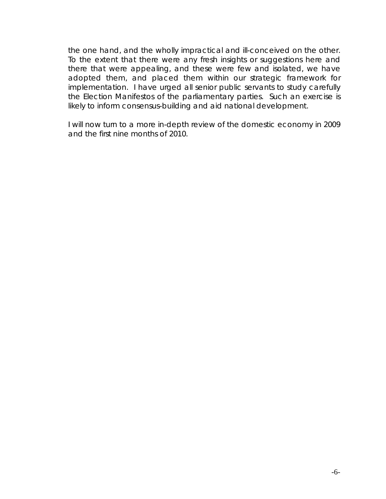the one hand, and the wholly impractical and ill-conceived on the other. To the extent that there were any fresh insights or suggestions here and there that were appealing, and these were few and isolated, we have adopted them, and placed them within our strategic framework for implementation. I have urged all senior public servants to study carefully the Election Manifestos of the parliamentary parties. Such an exercise is likely to inform consensus-building and aid national development.

I will now turn to a more in-depth review of the domestic economy in 2009 and the first nine months of 2010.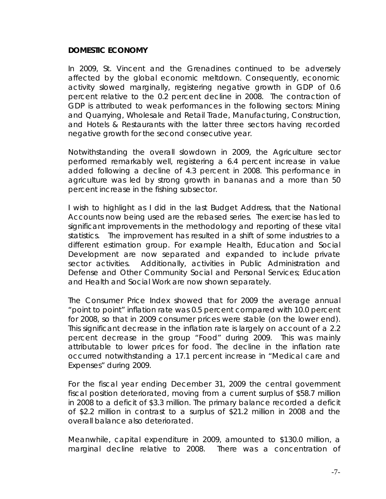#### **DOMESTIC ECONOMY**

In 2009, St. Vincent and the Grenadines continued to be adversely affected by the global economic meltdown. Consequently, economic activity slowed marginally, registering negative growth in GDP of 0.6 percent relative to the 0.2 percent decline in 2008. The contraction of GDP is attributed to weak performances in the following sectors: Mining and Quarrying, Wholesale and Retail Trade, Manufacturing, Construction, and Hotels & Restaurants with the latter three sectors having recorded negative growth for the second consecutive year.

Notwithstanding the overall slowdown in 2009, the Agriculture sector performed remarkably well, registering a 6.4 percent increase in value added following a decline of 4.3 percent in 2008. This performance in agriculture was led by strong growth in bananas and a more than 50 percent increase in the fishing subsector.

I wish to highlight as I did in the last Budget Address, that the National Accounts now being used are the rebased series. The exercise has led to significant improvements in the methodology and reporting of these vital statistics. The improvement has resulted in a shift of some industries to a different estimation group. For example Health, Education and Social Development are now separated and expanded to include private sector activities. Additionally, activities in Public Administration and Defense and Other Community Social and Personal Services; Education and Health and Social Work are now shown separately.

The Consumer Price Index showed that for 2009 the average annual "point to point" inflation rate was 0.5 percent compared with 10.0 percent for 2008, so that in 2009 consumer prices were stable (on the lower end). This significant decrease in the inflation rate is largely on account of a 2.2 percent decrease in the group "Food" during 2009. This was mainly attributable to lower prices for food. The decline in the inflation rate occurred notwithstanding a 17.1 percent increase in "Medical care and Expenses" during 2009.

For the fiscal year ending December 31, 2009 the central government fiscal position deteriorated, moving from a current surplus of \$58.7 million in 2008 to a deficit of \$3.3 million. The primary balance recorded a deficit of \$2.2 million in contrast to a surplus of \$21.2 million in 2008 and the overall balance also deteriorated.

Meanwhile, capital expenditure in 2009, amounted to \$130.0 million, a marginal decline relative to 2008. There was a concentration of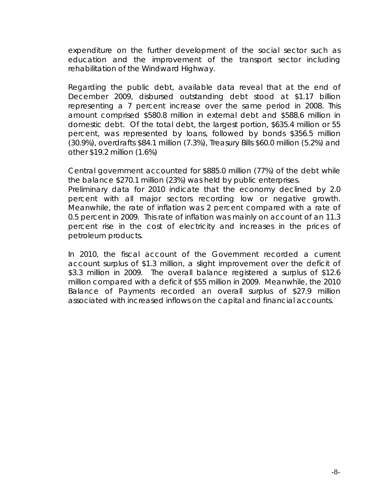expenditure on the further development of the social sector such as education and the improvement of the transport sector including rehabilitation of the Windward Highway.

Regarding the public debt, available data reveal that at the end of December 2009, disbursed outstanding debt stood at \$1.17 billion representing a 7 percent increase over the same period in 2008. This amount comprised \$580.8 million in external debt and \$588.6 million in domestic debt. Of the total debt, the largest portion, \$635.4 million or 55 percent, was represented by loans, followed by bonds \$356.5 million (30.9%), overdrafts \$84.1 million (7.3%), Treasury Bills \$60.0 million (5.2%) and other \$19.2 million (1.6%)

Central government accounted for \$885.0 million (77%) of the debt while the balance \$270.1 million (23%) was held by public enterprises.

Preliminary data for 2010 indicate that the economy declined by 2.0 percent with all major sectors recording low or negative growth. Meanwhile, the rate of inflation was 2 percent compared with a rate of 0.5 percent in 2009. This rate of inflation was mainly on account of an 11.3 percent rise in the cost of electricity and increases in the prices of petroleum products.

In 2010, the fiscal account of the Government recorded a current account surplus of \$1.3 million, a slight improvement over the deficit of \$3.3 million in 2009. The overall balance registered a surplus of \$12.6 million compared with a deficit of \$55 million in 2009. Meanwhile, the 2010 Balance of Payments recorded an overall surplus of \$27.9 million associated with increased inflows on the capital and financial accounts.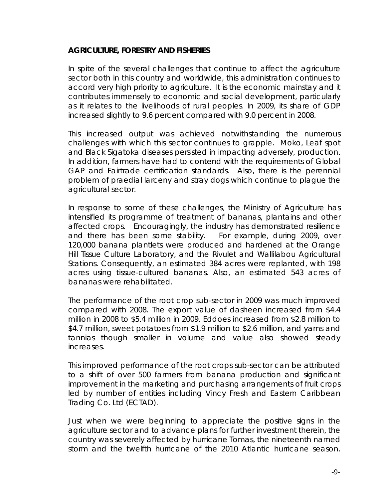### **AGRICULTURE, FORESTRY AND FISHERIES**

In spite of the several challenges that continue to affect the agriculture sector both in this country and worldwide, this administration continues to accord very high priority to agriculture. It is the economic mainstay and it contributes immensely to economic and social development, particularly as it relates to the livelihoods of rural peoples. In 2009, its share of GDP increased slightly to 9.6 percent compared with 9.0 percent in 2008.

This increased output was achieved notwithstanding the numerous challenges with which this sector continues to grapple. Moko, Leaf spot and Black Sigatoka diseases persisted in impacting adversely, production. In addition, farmers have had to contend with the requirements of Global GAP and Fairtrade certification standards. Also, there is the perennial problem of praedial larceny and stray dogs which continue to plague the agricultural sector.

In response to some of these challenges, the Ministry of Agriculture has intensified its programme of treatment of bananas, plantains and other affected crops. Encouragingly, the industry has demonstrated resilience and there has been some stability. For example, during 2009, over 120,000 banana plantlets were produced and hardened at the Orange Hill Tissue Culture Laboratory, and the Rivulet and Wallilabou Agricultural Stations. Consequently, an estimated 384 acres were replanted, with 198 acres using tissue-cultured bananas. Also, an estimated 543 acres of bananas were rehabilitated.

The performance of the root crop sub-sector in 2009 was much improved compared with 2008. The export value of dasheen increased from \$4.4 million in 2008 to \$5.4 million in 2009. Eddoes increased from \$2.8 million to \$4.7 million, sweet potatoes from \$1.9 million to \$2.6 million, and yams and tannias though smaller in volume and value also showed steady increases.

This improved performance of the root crops sub-sector can be attributed to a shift of over 500 farmers from banana production and significant improvement in the marketing and purchasing arrangements of fruit crops led by number of entities including Vincy Fresh and Eastern Caribbean Trading Co. Ltd (ECTAD).

Just when we were beginning to appreciate the positive signs in the agriculture sector and to advance plans for further investment therein, the country was severely affected by hurricane Tomas, the nineteenth named storm and the twelfth hurricane of the 2010 Atlantic hurricane season.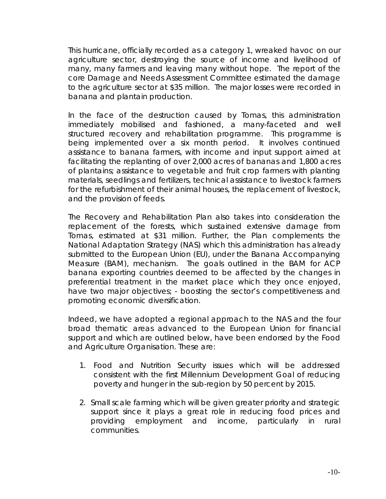This hurricane, officially recorded as a category 1, wreaked havoc on our agriculture sector, destroying the source of income and livelihood of many, many farmers and leaving many without hope. The report of the core Damage and Needs Assessment Committee estimated the damage to the agriculture sector at \$35 million. The major losses were recorded in banana and plantain production.

In the face of the destruction caused by Tomas, this administration immediately mobilised and fashioned, a many-faceted and well structured recovery and rehabilitation programme. This programme is being implemented over a six month period. It involves continued assistance to banana farmers, with income and input support aimed at facilitating the replanting of over 2,000 acres of bananas and 1,800 acres of plantains; assistance to vegetable and fruit crop farmers with planting materials, seedlings and fertilizers, technical assistance to livestock farmers for the refurbishment of their animal houses, the replacement of livestock, and the provision of feeds.

The Recovery and Rehabilitation Plan also takes into consideration the replacement of the forests, which sustained extensive damage from Tomas, estimated at \$31 million. Further, the Plan complements the National Adaptation Strategy (NAS) which this administration has already submitted to the European Union (EU), under the Banana Accompanying Measure (BAM), mechanism. The goals outlined in the BAM for ACP banana exporting countries deemed to be affected by the changes in preferential treatment in the market place which they once enjoyed, have two major objectives; - boosting the sector's competitiveness and promoting economic diversification.

Indeed, we have adopted a regional approach to the NAS and the four broad thematic areas advanced to the European Union for financial support and which are outlined below, have been endorsed by the Food and Agriculture Organisation. These are:

- 1. Food and Nutrition Security issues which will be addressed consistent with the first Millennium Development Goal of reducing poverty and hunger in the sub-region by 50 percent by 2015.
- 2. Small scale farming which will be given greater priority and strategic support since it plays a great role in reducing food prices and providing employment and income, particularly in rural communities.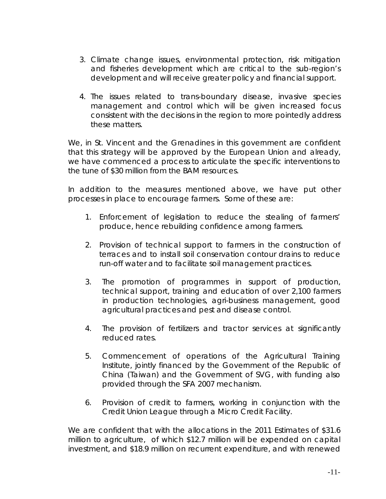- 3. Climate change issues, environmental protection, risk mitigation and fisheries development which are critical to the sub-region's development and will receive greater policy and financial support.
- 4. The issues related to trans-boundary disease, invasive species management and control which will be given increased focus consistent with the decisions in the region to more pointedly address these matters.

We, in St. Vincent and the Grenadines in this government are confident that this strategy will be approved by the European Union and already, we have commenced a process to articulate the specific interventions to the tune of \$30 million from the BAM resources.

In addition to the measures mentioned above, we have put other processes in place to encourage farmers. Some of these are:

- 1. Enforcement of legislation to reduce the stealing of farmers' produce, hence rebuilding confidence among farmers.
- 2. Provision of technical support to farmers in the construction of terraces and to install soil conservation contour drains to reduce run-off water and to facilitate soil management practices.
- 3. The promotion of programmes in support of production, technical support, training and education of over 2,100 farmers in production technologies, agri-business management, good agricultural practices and pest and disease control.
- 4. The provision of fertilizers and tractor services at significantly reduced rates.
- 5. Commencement of operations of the Agricultural Training Institute, jointly financed by the Government of the Republic of China (Taiwan) and the Government of SVG, with funding also provided through the SFA 2007 mechanism.
- 6. Provision of credit to farmers, working in conjunction with the Credit Union League through a Micro Credit Facility.

We are confident that with the allocations in the 2011 Estimates of \$31.6 million to agriculture, of which \$12.7 million will be expended on capital investment, and \$18.9 million on recurrent expenditure, and with renewed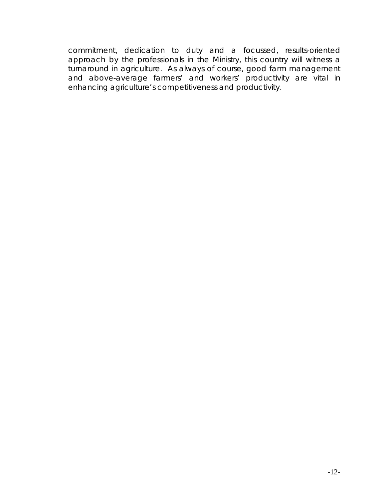commitment, dedication to duty and a focussed, results-oriented approach by the professionals in the Ministry, this country will witness a turnaround in agriculture. As always of course, good farm management and above-average farmers' and workers' productivity are vital in enhancing agriculture's competitiveness and productivity.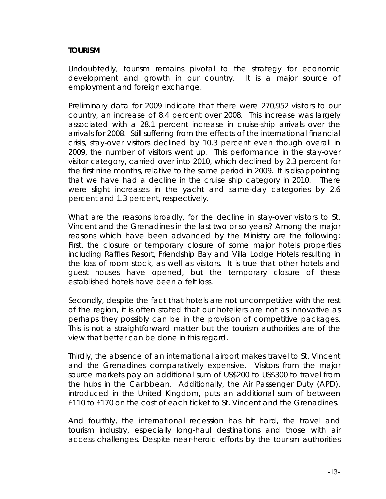## **TOURISM**

Undoubtedly, tourism remains pivotal to the strategy for economic development and growth in our country. It is a major source of employment and foreign exchange.

Preliminary data for 2009 indicate that there were 270,952 visitors to our country, an increase of 8.4 percent over 2008. This increase was largely associated with a 28.1 percent increase in cruise-ship arrivals over the arrivals for 2008. Still suffering from the effects of the international financial crisis, stay-over visitors declined by 10.3 percent even though overall in 2009, the number of visitors went up. This performance in the stay-over visitor category, carried over into 2010, which declined by 2.3 percent for the first nine months, relative to the same period in 2009. It is disappointing that we have had a decline in the cruise ship category in 2010. There were slight increases in the yacht and same-day categories by 2.6 percent and 1.3 percent, respectively.

What are the reasons broadly, for the decline in stay-over visitors to St. Vincent and the Grenadines in the last two or so years? Among the major reasons which have been advanced by the Ministry are the following: First, the closure or temporary closure of some major hotels properties including Raffles Resort, Friendship Bay and Villa Lodge Hotels resulting in the loss of room stock, as well as visitors. It is true that other hotels and guest houses have opened, but the temporary closure of these established hotels have been a felt loss.

Secondly, despite the fact that hotels are not uncompetitive with the rest of the region, it is often stated that our hoteliers are not as innovative as perhaps they possibly can be in the provision of competitive packages. This is not a straightforward matter but the tourism authorities are of the view that better can be done in this regard.

Thirdly, the absence of an international airport makes travel to St. Vincent and the Grenadines comparatively expensive. Visitors from the major source markets pay an additional sum of US\$200 to US\$300 to travel from the hubs in the Caribbean. Additionally, the Air Passenger Duty (APD), introduced in the United Kingdom, puts an additional sum of between £110 to £170 on the cost of each ticket to St. Vincent and the Grenadines.

And fourthly, the international recession has hit hard, the travel and tourism industry, especially long-haul destinations and those with air access challenges. Despite near-heroic efforts by the tourism authorities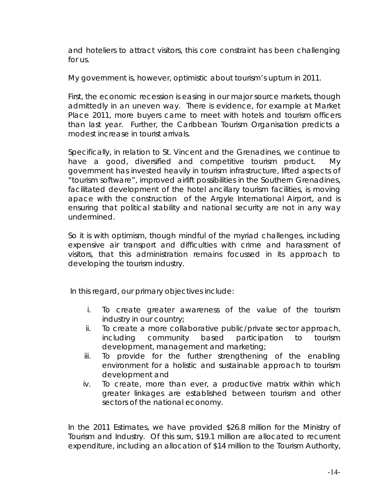and hoteliers to attract visitors, this core constraint has been challenging for us.

My government is, however, optimistic about tourism's upturn in 2011.

First, the economic recession is easing in our major source markets, though admittedly in an uneven way. There is evidence, for example at Market Place 2011, more buyers came to meet with hotels and tourism officers than last year. Further, the Caribbean Tourism Organisation predicts a modest increase in tourist arrivals.

Specifically, in relation to St. Vincent and the Grenadines, we continue to have a good, diversified and competitive tourism product. My government has invested heavily in tourism infrastructure, lifted aspects of "tourism software", improved airlift possibilities in the Southern Grenadines, facilitated development of the hotel ancillary tourism facilities, is moving apace with the construction of the Argyle International Airport, and is ensuring that political stability and national security are not in any way undermined.

So it is with optimism, though mindful of the myriad challenges, including expensive air transport and difficulties with crime and harassment of visitors, that this administration remains focussed in its approach to developing the tourism industry.

In this regard, our primary objectives include:

- i. To create greater awareness of the value of the tourism industry in our country;
- ii. To create a more collaborative public/private sector approach, including community based participation to tourism development, management and marketing;
- iii. To provide for the further strengthening of the enabling environment for a holistic and sustainable approach to tourism development and
- iv. To create, more than ever, a productive matrix within which greater linkages are established between tourism and other sectors of the national economy.

In the 2011 Estimates, we have provided \$26.8 million for the Ministry of Tourism and Industry. Of this sum, \$19.1 million are allocated to recurrent expenditure, including an allocation of \$14 million to the Tourism Authority,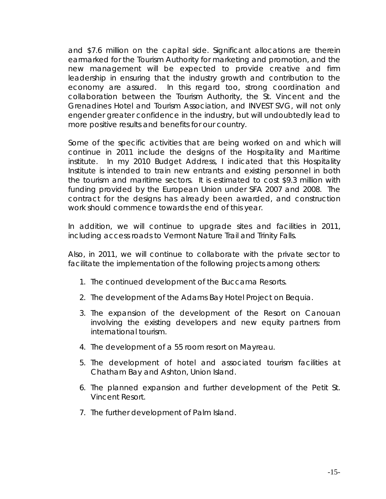and \$7.6 million on the capital side. Significant allocations are therein earmarked for the Tourism Authority for marketing and promotion, and the new management will be expected to provide creative and firm leadership in ensuring that the industry growth and contribution to the economy are assured. In this regard too, strong coordination and collaboration between the Tourism Authority, the St. Vincent and the Grenadines Hotel and Tourism Association, and INVEST SVG, will not only engender greater confidence in the industry, but will undoubtedly lead to more positive results and benefits for our country.

Some of the specific activities that are being worked on and which will continue in 2011 include the designs of the Hospitality and Maritime institute. In my 2010 Budget Address, I indicated that this Hospitality Institute is intended to train new entrants and existing personnel in both the tourism and maritime sectors. It is estimated to cost \$9.3 million with funding provided by the European Union under SFA 2007 and 2008. The contract for the designs has already been awarded, and construction work should commence towards the end of this year.

In addition, we will continue to upgrade sites and facilities in 2011, including access roads to Vermont Nature Trail and Trinity Falls.

Also, in 2011, we will continue to collaborate with the private sector to facilitate the implementation of the following projects among others:

- 1. The continued development of the Buccama Resorts.
- 2. The development of the Adams Bay Hotel Project on Bequia.
- 3. The expansion of the development of the Resort on Canouan involving the existing developers and new equity partners from international tourism.
- 4. The development of a 55 room resort on Mayreau.
- 5. The development of hotel and associated tourism facilities at Chatham Bay and Ashton, Union Island.
- 6. The planned expansion and further development of the Petit St. Vincent Resort.
- 7. The further development of Palm Island.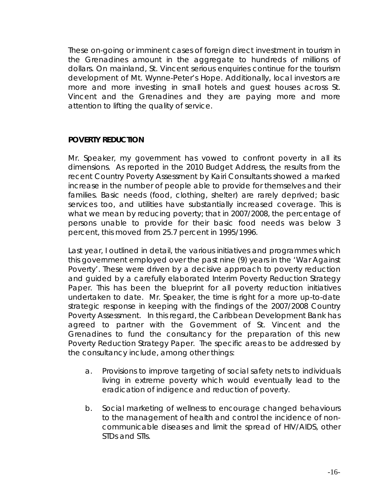These on-going or imminent cases of foreign direct investment in tourism in the Grenadines amount in the aggregate to hundreds of millions of dollars. On mainland, St. Vincent serious enquiries continue for the tourism development of Mt. Wynne-Peter's Hope. Additionally, local investors are more and more investing in small hotels and guest houses across St. Vincent and the Grenadines and they are paying more and more attention to lifting the quality of service.

## **POVERTY REDUCTION**

Mr. Speaker, my government has vowed to confront poverty in all its dimensions. As reported in the 2010 Budget Address, the results from the recent Country Poverty Assessment by Kairi Consultants showed a marked increase in the number of people able to provide for themselves and their families. Basic needs (food, clothing, shelter) are rarely deprived; basic services too, and utilities have substantially increased coverage. This is what we mean by reducing poverty; that in 2007/2008, the percentage of persons unable to provide for their basic food needs was below 3 percent, this moved from 25.7 percent in 1995/1996.

Last year, I outlined in detail, the various initiatives and programmes which this government employed over the past nine (9) years in the 'War Against Poverty'. These were driven by a decisive approach to poverty reduction and guided by a carefully elaborated Interim Poverty Reduction Strategy Paper. This has been the blueprint for all poverty reduction initiatives undertaken to date. Mr. Speaker, the time is right for a more up-to-date strategic response in keeping with the findings of the 2007/2008 Country Poverty Assessment. In this regard, the Caribbean Development Bank has agreed to partner with the Government of St. Vincent and the Grenadines to fund the consultancy for the preparation of this new Poverty Reduction Strategy Paper. The specific areas to be addressed by the consultancy include, among other things:

- a. Provisions to improve targeting of social safety nets to individuals living in extreme poverty which would eventually lead to the eradication of indigence and reduction of poverty.
- b. Social marketing of wellness to encourage changed behaviours to the management of health and control the incidence of non communicable diseases and limit the spread of HIV/AIDS, other STDs and STIs.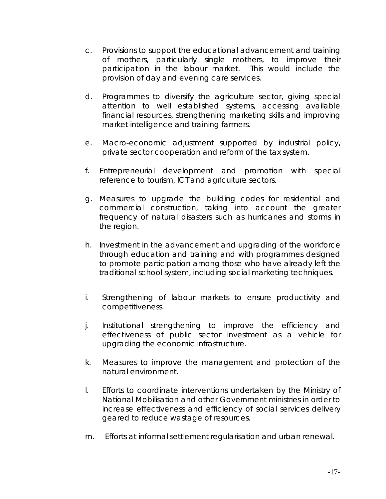- c. Provisions to support the educational advancement and training of mothers, particularly single mothers, to improve their participation in the labour market. This would include the provision of day and evening care services.
- d. Programmes to diversify the agriculture sector, giving special attention to well established systems, accessing available financial resources, strengthening marketing skills and improving market intelligence and training farmers.
- e. Macro-economic adjustment supported by industrial policy, private sector cooperation and reform of the tax system.
- f. Entrepreneurial development and promotion with special reference to tourism, ICT and agriculture sectors.
- g. Measures to upgrade the building codes for residential and commercial construction, taking into account the greater frequency of natural disasters such as hurricanes and storms in the region.
- h. Investment in the advancement and upgrading of the workforce through education and training and with programmes designed to promote participation among those who have already left the traditional school system, including social marketing techniques.
- i. Strengthening of labour markets to ensure productivity and competitiveness.
- j. Institutional strengthening to improve the efficiency and effectiveness of public sector investment as a vehicle for upgrading the economic infrastructure.
- k. Measures to improve the management and protection of the natural environment.
- l. Efforts to coordinate interventions undertaken by the Ministry of National Mobilisation and other Government ministries in order to increase effectiveness and efficiency of social services delivery geared to reduce wastage of resources.
- m. Efforts at informal settlement regularisation and urban renewal.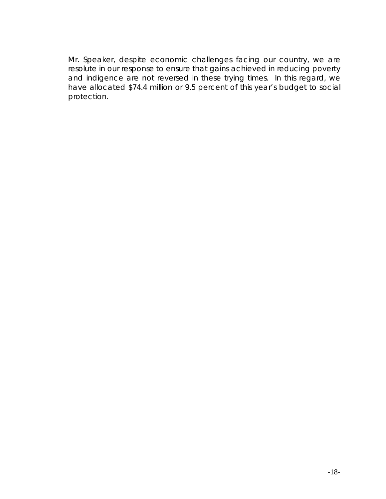Mr. Speaker, despite economic challenges facing our country, we are resolute in our response to ensure that gains achieved in reducing poverty and indigence are not reversed in these trying times. In this regard, we have allocated \$74.4 million or 9.5 percent of this year's budget to social protection.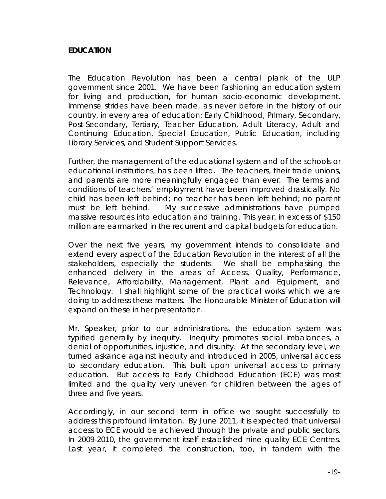#### **EDUCATION**

The Education Revolution has been a central plank of the ULP government since 2001. We have been fashioning an education system for living and production, for human socio-economic development. Immense strides have been made, as never before in the history of our country, in every area of education: Early Childhood, Primary, Secondary, Post-Secondary, Tertiary, Teacher Education, Adult Literacy, Adult and Continuing Education, Special Education, Public Education, including Library Services, and Student Support Services.

Further, the management of the educational system and of the schools or educational institutions, has been lifted. The teachers, their trade unions, and parents are more meaningfully engaged than ever. The terms and conditions of teachers' employment have been improved drastically. No child has been left behind; no teacher has been left behind; no parent must be left behind. My successive administrations have pumped massive resources into education and training. This year, in excess of \$150 million are earmarked in the recurrent and capital budgets for education.

Over the next five years, my government intends to consolidate and extend every aspect of the Education Revolution in the interest of all the stakeholders, especially the students. We shall be emphasising the enhanced delivery in the areas of Access, Quality, Performance, Relevance, Affordability, Management, Plant and Equipment, and Technology. I shall highlight some of the practical works which we are doing to address these matters. The Honourable Minister of Education will expand on these in her presentation.

Mr. Speaker, prior to our administrations, the education system was typified generally by inequity. Inequity promotes social imbalances, a denial of opportunities, injustice, and disunity. At the secondary level, we turned askance against inequity and introduced in 2005, universal access to secondary education. This built upon universal access to primary education. But access to Early Childhood Education (ECE) was most limited and the quality very uneven for children between the ages of three and five years.

Accordingly, in our second term in office we sought successfully to address this profound limitation. By June 2011, it is expected that universal access to ECE would be achieved through the private and public sectors. In 2009-2010, the government itself established nine quality ECE Centres. Last year, it completed the construction, too, in tandem with the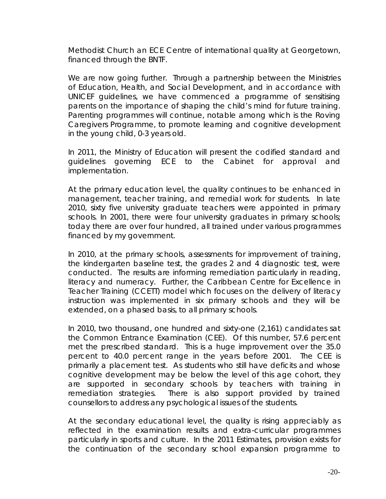Methodist Church an ECE Centre of international quality at Georgetown, financed through the BNTF.

We are now going further. Through a partnership between the Ministries of Education, Health, and Social Development, and in accordance with UNICEF guidelines, we have commenced a programme of sensitising parents on the importance of shaping the child's mind for future training. Parenting programmes will continue, notable among which is the Roving Caregivers Programme, to promote learning and cognitive development in the young child, 0-3 years old.

In 2011, the Ministry of Education will present the codified standard and guidelines governing ECE to the Cabinet for approval and implementation.

At the primary education level, the quality continues to be enhanced in management, teacher training, and remedial work for students. In late 2010, sixty five university graduate teachers were appointed in primary schools. In 2001, there were four university graduates in primary schools; today there are over four hundred, all trained under various programmes financed by my government.

In 2010, at the primary schools, assessments for improvement of training, the kindergarten baseline test, the grades 2 and 4 diagnostic test, were conducted. The results are informing remediation particularly in reading, literacy and numeracy. Further, the Caribbean Centre for Excellence in Teacher Training (CCETT) model which focuses on the delivery of literacy instruction was implemented in six primary schools and they will be extended, on a phased basis, to all primary schools.

In 2010, two thousand, one hundred and sixty-one (2,161) candidates sat the Common Entrance Examination (CEE). Of this number, 57.6 percent met the prescribed standard. This is a huge improvement over the 35.0 percent to 40.0 percent range in the years before 2001. The CEE is primarily a placement test. As students who still have deficits and whose cognitive development may be below the level of this age cohort, they are supported in secondary schools by teachers with training in remediation strategies. There is also support provided by trained counsellors to address any psychological issues of the students.

At the secondary educational level, the quality is rising appreciably as reflected in the examination results and extra-curricular programmes particularly in sports and culture. In the 2011 Estimates, provision exists for the continuation of the secondary school expansion programme to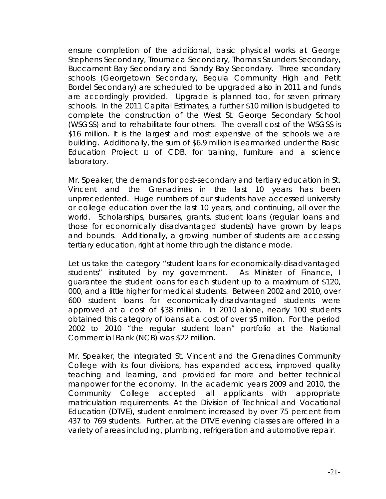ensure completion of the additional, basic physical works at George Stephens Secondary, Troumaca Secondary, Thomas Saunders Secondary, Buccament Bay Secondary and Sandy Bay Secondary. Three secondary schools (Georgetown Secondary, Bequia Community High and Petit Bordel Secondary) are scheduled to be upgraded also in 2011 and funds are accordingly provided. Upgrade is planned too, for seven primary schools. In the 2011 Capital Estimates, a further \$10 million is budgeted to complete the construction of the West St. George Secondary School (WSGSS) and to rehabilitate four others. The overall cost of the WSGSS is \$16 million. It is the largest and most expensive of the schools we are building. Additionally, the sum of \$6.9 million is earmarked under the Basic Education Project II of CDB, for training, furniture and a science laboratory.

Mr. Speaker, the demands for post-secondary and tertiary education in St. Vincent and the Grenadines in the last 10 years has been unprecedented. Huge numbers of our students have accessed university or college education over the last 10 years, and continuing, all over the world. Scholarships, bursaries, grants, student loans (regular loans and those for economically disadvantaged students) have grown by leaps and bounds. Additionally, a growing number of students are accessing tertiary education, right at home through the distance mode.

Let us take the category "student loans for economically-disadvantaged students" instituted by my government. As Minister of Finance, I guarantee the student loans for each student up to a maximum of \$120, 000, and a little higher for medical students. Between 2002 and 2010, over 600 student loans for economically-disadvantaged students were approved at a cost of \$38 million. In 2010 alone, nearly 100 students obtained this category of loans at a cost of over \$5 million. For the period 2002 to 2010 "the regular student loan" portfolio at the National Commercial Bank (NCB) was \$22 million.

Mr. Speaker, the integrated St. Vincent and the Grenadines Community College with its four divisions, has expanded access, improved quality teaching and learning, and provided far more and better technical manpower for the economy. In the academic years 2009 and 2010, the Community College accepted all applicants with appropriate matriculation requirements. At the Division of Technical and Vocational Education (DTVE), student enrolment increased by over 75 percent from 437 to 769 students. Further, at the DTVE evening classes are offered in a variety of areas including, plumbing, refrigeration and automotive repair.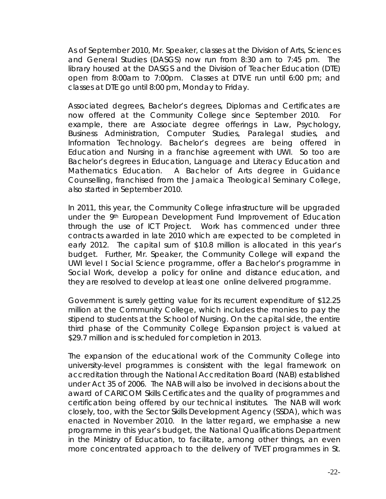As of September 2010, Mr. Speaker, classes at the Division of Arts, Sciences and General Studies (DASGS) now run from 8:30 am to 7:45 pm. The library housed at the DASGS and the Division of Teacher Education (DTE) open from 8:00am to 7:00pm. Classes at DTVE run until 6:00 pm; and classes at DTE go until 8:00 pm, Monday to Friday.

Associated degrees, Bachelor's degrees, Diplomas and Certificates are now offered at the Community College since September 2010. For example, there are Associate degree offerings in Law, Psychology, Business Administration, Computer Studies, Paralegal studies, and Information Technology. Bachelor's degrees are being offered in Education and Nursing in a franchise agreement with UWI. So too are Bachelor's degrees in Education, Language and Literacy Education and Mathematics Education. A Bachelor of Arts degree in Guidance Counselling, franchised from the Jamaica Theological Seminary College, also started in September 2010.

In 2011, this year, the Community College infrastructure will be upgraded under the 9<sup>th</sup> European Development Fund Improvement of Education through the use of ICT Project. Work has commenced under three contracts awarded in late 2010 which are expected to be completed in early 2012. The capital sum of \$10.8 million is allocated in this year's budget. Further, Mr. Speaker, the Community College will expand the UWI level I Social Science programme, offer a Bachelor's programme in Social Work, develop a policy for online and distance education, and they are resolved to develop at least one online delivered programme.

Government is surely getting value for its recurrent expenditure of \$12.25 million at the Community College, which includes the monies to pay the stipend to students at the School of Nursing. On the capital side, the entire third phase of the Community College Expansion project is valued at \$29.7 million and is scheduled for completion in 2013.

The expansion of the educational work of the Community College into university-level programmes is consistent with the legal framework on accreditation through the National Accreditation Board (NAB) established under Act 35 of 2006. The NAB will also be involved in decisions about the award of CARICOM Skills Certificates and the quality of programmes and certification being offered by our technical institutes. The NAB will work closely, too, with the Sector Skills Development Agency (SSDA), which was enacted in November 2010. In the latter regard, we emphasise a new programme in this year's budget, the National Qualifications Department in the Ministry of Education, to facilitate, among other things, an even more concentrated approach to the delivery of TVET programmes in St.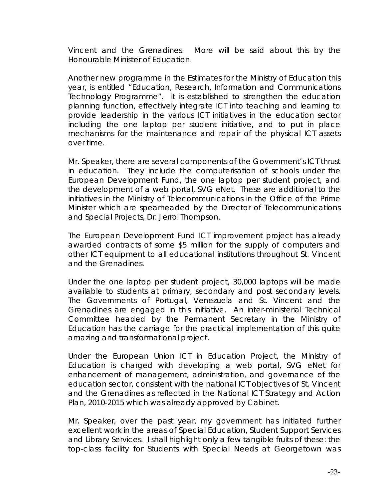Vincent and the Grenadines. More will be said about this by the Honourable Minister of Education.

Another new programme in the Estimates for the Ministry of Education this year, is entitled "Education, Research, Information and Communications Technology Programme". It is established to strengthen the education planning function, effectively integrate ICT into teaching and learning to provide leadership in the various ICT initiatives in the education sector including the one laptop per student initiative, and to put in place mechanisms for the maintenance and repair of the physical ICT assets over time.

Mr. Speaker, there are several components of the Government's ICT thrust in education. They include the computerisation of schools under the European Development Fund, the one laptop per student project, and the development of a web portal, SVG eNet. These are additional to the initiatives in the Ministry of Telecommunications in the Office of the Prime Minister which are spearheaded by the Director of Telecommunications and Special Projects, Dr. Jerrol Thompson.

The European Development Fund ICT improvement project has already awarded contracts of some \$5 million for the supply of computers and other ICT equipment to all educational institutions throughout St. Vincent and the Grenadines.

Under the one laptop per student project, 30,000 laptops will be made available to students at primary, secondary and post secondary levels. The Governments of Portugal, Venezuela and St. Vincent and the Grenadines are engaged in this initiative. An inter-ministerial Technical Committee headed by the Permanent Secretary in the Ministry of Education has the carriage for the practical implementation of this quite amazing and transformational project.

Under the European Union ICT in Education Project, the Ministry of Education is charged with developing a web portal, SVG eNet for enhancement of management, administration, and governance of the education sector, consistent with the national ICT objectives of St. Vincent and the Grenadines as reflected in the National ICT Strategy and Action Plan, 2010-2015 which was already approved by Cabinet.

Mr. Speaker, over the past year, my government has initiated further excellent work in the areas of Special Education, Student Support Services and Library Services. I shall highlight only a few tangible fruits of these: the top-class facility for Students with Special Needs at Georgetown was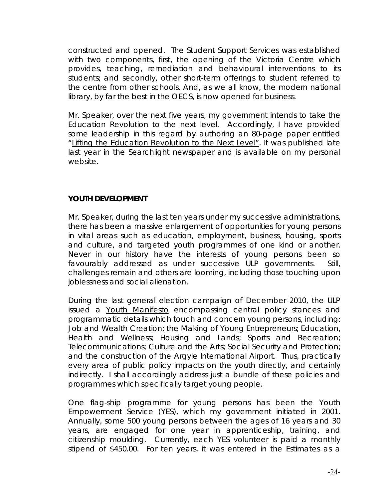constructed and opened. The Student Support Services was established with two components, first, the opening of the Victoria Centre which provides, teaching, remediation and behavioural interventions to its students; and secondly, other short-term offerings to student referred to the centre from other schools. And, as we all know, the modern national library, by far the best in the OECS, is now opened for business.

Mr. Speaker, over the next five years, my government intends to take the Education Revolution to the next level. Accordingly, I have provided some leadership in this regard by authoring an 80-page paper entitled "Lifting the Education Revolution to the Next Level". It was published late last year in the Searchlight newspaper and is available on my personal website.

## **YOUTH DEVELOPMENT**

Mr. Speaker, during the last ten years under my successive administrations, there has been a massive enlargement of opportunities for young persons in vital areas such as education, employment, business, housing, sports and culture, and targeted youth programmes of one kind or another. Never in our history have the interests of young persons been so favourably addressed as under successive ULP governments. Still, challenges remain and others are looming, including those touching upon joblessness and social alienation.

During the last general election campaign of December 2010, the ULP issued a Youth Manifesto encompassing central policy stances and programmatic details which touch and concern young persons, including: Job and Wealth Creation; the Making of Young Entrepreneurs; Education, Health and Wellness; Housing and Lands; Sports and Recreation; Telecommunications; Culture and the Arts; Social Security and Protection; and the construction of the Argyle International Airport. Thus, practically every area of public policy impacts on the youth directly, and certainly indirectly. I shall accordingly address just a bundle of these policies and programmes which specifically target young people.

One flag-ship programme for young persons has been the Youth Empowerment Service (YES), which my government initiated in 2001. Annually, some 500 young persons between the ages of 16 years and 30 years, are engaged for one year in apprenticeship, training, and citizenship moulding. Currently, each YES volunteer is paid a monthly stipend of \$450.00. For ten years, it was entered in the Estimates as a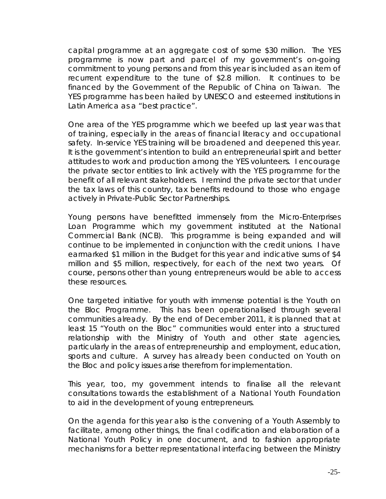capital programme at an aggregate cost of some \$30 million. The YES programme is now part and parcel of my government's on-going commitment to young persons and from this year is included as an item of recurrent expenditure to the tune of \$2.8 million. It continues to be financed by the Government of the Republic of China on Taiwan. The YES programme has been hailed by UNESCO and esteemed institutions in Latin America as a "best practice".

One area of the YES programme which we beefed up last year was that of training, especially in the areas of financial literacy and occupational safety. In-service YES training will be broadened and deepened this year. It is the government's intention to build an entrepreneurial spirit and better attitudes to work and production among the YES volunteers. I encourage the private sector entities to link actively with the YES programme for the benefit of all relevant stakeholders. I remind the private sector that under the tax laws of this country, tax benefits redound to those who engage actively in Private-Public Sector Partnerships.

Young persons have benefitted immensely from the Micro-Enterprises Loan Programme which my government instituted at the National Commercial Bank (NCB). This programme is being expanded and will continue to be implemented in conjunction with the credit unions. I have earmarked \$1 million in the Budget for this year and indicative sums of \$4 million and \$5 million, respectively, for each of the next two years. Of course, persons other than young entrepreneurs would be able to access these resources.

One targeted initiative for youth with immense potential is the Youth on the Bloc Programme. This has been operationalised through several communities already. By the end of December 2011, it is planned that at least 15 "Youth on the Bloc" communities would enter into a structured relationship with the Ministry of Youth and other state agencies, particularly in the areas of entrepreneurship and employment, education, sports and culture. A survey has already been conducted on Youth on the Bloc and policy issues arise therefrom for implementation.

This year, too, my government intends to finalise all the relevant consultations towards the establishment of a National Youth Foundation to aid in the development of young entrepreneurs.

On the agenda for this year also is the convening of a Youth Assembly to facilitate, among other things, the final codification and elaboration of a National Youth Policy in one document, and to fashion appropriate mechanisms for a better representational interfacing between the Ministry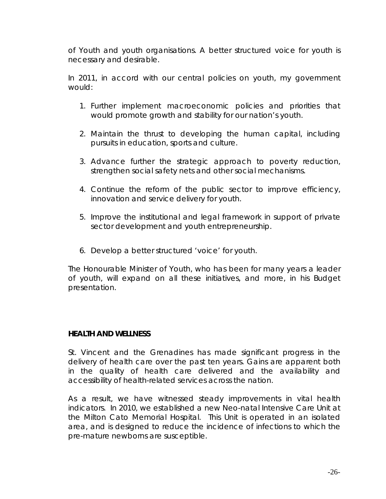of Youth and youth organisations. A better structured voice for youth is necessary and desirable.

In 2011, in accord with our central policies on youth, my government would:

- 1. Further implement macroeconomic policies and priorities that would promote growth and stability for our nation's youth.
- 2. Maintain the thrust to developing the human capital, including pursuits in education, sports and culture.
- 3. Advance further the strategic approach to poverty reduction, strengthen social safety nets and other social mechanisms.
- 4. Continue the reform of the public sector to improve efficiency, innovation and service delivery for youth.
- 5. Improve the institutional and legal framework in support of private sector development and youth entrepreneurship.
- 6. Develop a better structured 'voice' for youth.

The Honourable Minister of Youth, who has been for many years a leader of youth, will expand on all these initiatives, and more, in his Budget presentation.

## **HEALTH AND WELLNESS**

St. Vincent and the Grenadines has made significant progress in the delivery of health care over the past ten years. Gains are apparent both in the quality of health care delivered and the availability and accessibility of health-related services across the nation.

As a result, we have witnessed steady improvements in vital health indicators. In 2010, we established a new Neo-natal Intensive Care Unit at the Milton Cato Memorial Hospital. This Unit is operated in an isolated area, and is designed to reduce the incidence of infections to which the pre-mature newborns are susceptible.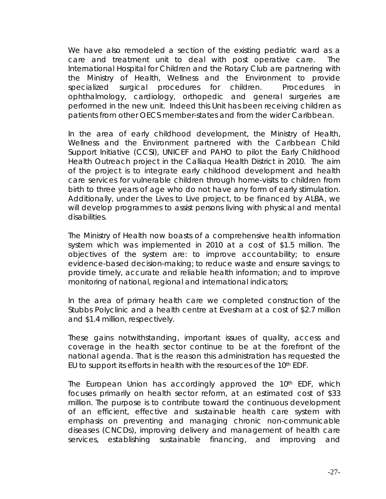We have also remodeled a section of the existing pediatric ward as a care and treatment unit to deal with post operative care. The International Hospital for Children and the Rotary Club are partnering with the Ministry of Health, Wellness and the Environment to provide specialized surgical procedures for children. Procedures in ophthalmology, cardiology, orthopedic and general surgeries are performed in the new unit. Indeed this Unit has been receiving children as patients from other OECS member-states and from the wider Caribbean.

In the area of early childhood development, the Ministry of Health, Wellness and the Environment partnered with the Caribbean Child Support Initiative (CCSI), UNICEF and PAHO to pilot the Early Childhood Health Outreach project in the Calliaqua Health District in 2010. The aim of the project is to integrate early childhood development and health care services for vulnerable children through home-visits to children from birth to three years of age who do not have any form of early stimulation. Additionally, under the Lives to Live project, to be financed by ALBA, we will develop programmes to assist persons living with physical and mental disabilities.

The Ministry of Health now boasts of a comprehensive health information system which was implemented in 2010 at a cost of \$1.5 million. The objectives of the system are: to improve accountability; to ensure evidence-based decision-making; to reduce waste and ensure savings; to provide timely, accurate and reliable health information; and to improve monitoring of national, regional and international indicators;

In the area of primary health care we completed construction of the Stubbs Polyclinic and a health centre at Evesham at a cost of \$2.7 million and \$1.4 million, respectively.

These gains notwithstanding, important issues of quality, access and coverage in the health sector continue to be at the forefront of the national agenda. That is the reason this administration has requested the EU to support its efforts in health with the resources of the 10th EDF.

The European Union has accordingly approved the 10<sup>th</sup> EDF, which focuses primarily on health sector reform, at an estimated cost of \$33 million. The purpose is to contribute toward the continuous development of an efficient, effective and sustainable health care system with emphasis on preventing and managing chronic non-communicable diseases (CNCDs), improving delivery and management of health care services, establishing sustainable financing, and improving and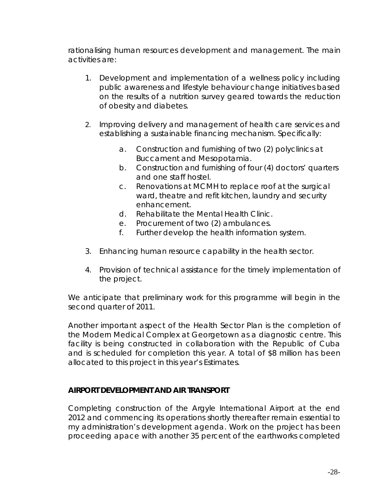rationalising human resources development and management. The main activities are:

- 1. Development and implementation of a wellness policy including public awareness and lifestyle behaviour change initiatives based on the results of a nutrition survey geared towards the reduction of obesity and diabetes.
- 2. Improving delivery and management of health care services and establishing a sustainable financing mechanism. Specifically:
	- a. Construction and furnishing of two (2) polyclinics at Buccament and Mesopotamia.
	- b. Construction and furnishing of four (4) doctors' quarters and one staff hostel.
	- c. Renovations at MCMH to replace roof at the surgical ward, theatre and refit kitchen, laundry and security enhancement.
	- d. Rehabilitate the Mental Health Clinic.
	- e. Procurement of two (2) ambulances.
	- f. Further develop the health information system.
- 3. Enhancing human resource capability in the health sector.
- 4. Provision of technical assistance for the timely implementation of the project.

We anticipate that preliminary work for this programme will begin in the second quarter of 2011.

Another important aspect of the Health Sector Plan is the completion of the Modern Medical Complex at Georgetown as a diagnostic centre. This facility is being constructed in collaboration with the Republic of Cuba and is scheduled for completion this year. A total of \$8 million has been allocated to this project in this year's Estimates.

## **AIRPORT DEVELOPMENT AND AIR TRANSPORT**

Completing construction of the Argyle International Airport at the end 2012 and commencing its operations shortly thereafter remain essential to my administration's development agenda. Work on the project has been proceeding apace with another 35 percent of the earthworks completed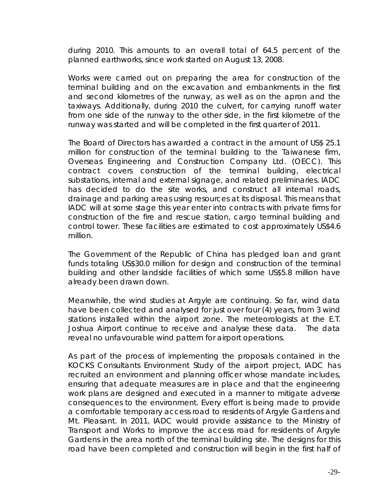during 2010. This amounts to an overall total of 64.5 percent of the planned earthworks, since work started on August 13, 2008.

Works were carried out on preparing the area for construction of the terminal building and on the excavation and embankments in the first and second kilometres of the runway, as well as on the apron and the taxiways. Additionally, during 2010 the culvert, for carrying runoff water from one side of the runway to the other side, in the first kilometre of the runway was started and will be completed in the first quarter of 2011.

The Board of Directors has awarded a contract in the amount of US\$ 25.1 million for construction of the terminal building to the Taiwanese firm, Overseas Engineering and Construction Company Ltd. (OECC). This contract covers construction of the terminal building, electrical substations, internal and external signage, and related preliminaries. IADC has decided to do the site works, and construct all internal roads, drainage and parking areas using resources at its disposal. This means that IADC will at some stage this year enter into contracts with private firms for construction of the fire and rescue station, cargo terminal building and control tower. These facilities are estimated to cost approximately US\$4.6 million.

The Government of the Republic of China has pledged loan and grant funds totaling US\$30.0 million for design and construction of the terminal building and other landside facilities of which some US\$5.8 million have already been drawn down.

Meanwhile, the wind studies at Argyle are continuing. So far, wind data have been collected and analysed for just over four (4) years, from 3 wind stations installed within the airport zone. The meteorologists at the E.T. Joshua Airport continue to receive and analyse these data. The data reveal no unfavourable wind pattern for airport operations.

As part of the process of implementing the proposals contained in the KOCKS Consultants Environment Study of the airport project, IADC has recruited an environment and planning officer whose mandate includes, ensuring that adequate measures are in place and that the engineering work plans are designed and executed in a manner to mitigate adverse consequences to the environment. Every effort is being made to provide a comfortable temporary access road to residents of Argyle Gardens and Mt. Pleasant. In 2011, IADC would provide assistance to the Ministry of Transport and Works to improve the access road for residents of Argyle Gardens in the area north of the terminal building site. The designs for this road have been completed and construction will begin in the first half of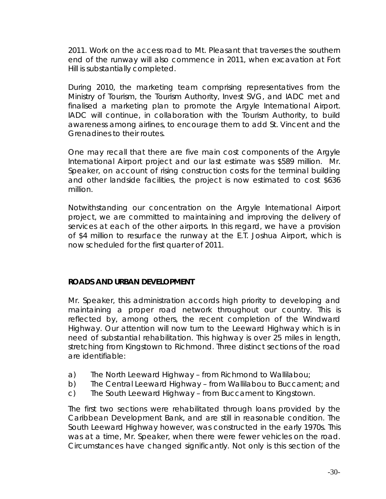2011. Work on the access road to Mt. Pleasant that traverses the southern end of the runway will also commence in 2011, when excavation at Fort Hill is substantially completed.

During 2010, the marketing team comprising representatives from the Ministry of Tourism, the Tourism Authority, Invest SVG, and IADC met and finalised a marketing plan to promote the Argyle International Airport. IADC will continue, in collaboration with the Tourism Authority, to build awareness among airlines, to encourage them to add St. Vincent and the Grenadines to their routes.

One may recall that there are five main cost components of the Argyle International Airport project and our last estimate was \$589 million. Mr. Speaker, on account of rising construction costs for the terminal building and other landside facilities, the project is now estimated to cost \$636 million.

Notwithstanding our concentration on the Argyle International Airport project, we are committed to maintaining and improving the delivery of services at each of the other airports. In this regard, we have a provision of \$4 million to resurface the runway at the E.T. Joshua Airport, which is now scheduled for the first quarter of 2011.

## **ROADS AND URBAN DEVELOPMENT**

Mr. Speaker, this administration accords high priority to developing and maintaining a proper road network throughout our country. This is reflected by, among others, the recent completion of the Windward Highway. Our attention will now turn to the Leeward Highway which is in need of substantial rehabilitation. This highway is over 25 miles in length, stretching from Kingstown to Richmond. Three distinct sections of the road are identifiable:

- a) The North Leeward Highway from Richmond to Wallilabou;
- b) The Central Leeward Highway from Wallilabou to Buccament; and
- c) The South Leeward Highway from Buccament to Kingstown.

The first two sections were rehabilitated through loans provided by the Caribbean Development Bank, and are still in reasonable condition. The South Leeward Highway however, was constructed in the early 1970s. This was at a time, Mr. Speaker, when there were fewer vehicles on the road. Circumstances have changed significantly. Not only is this section of the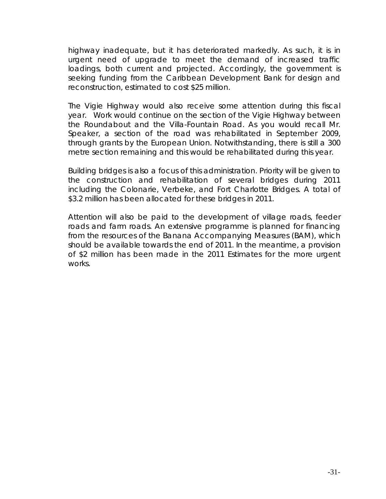highway inadequate, but it has deteriorated markedly. As such, it is in urgent need of upgrade to meet the demand of increased traffic loadings, both current and projected. Accordingly, the government is seeking funding from the Caribbean Development Bank for design and reconstruction, estimated to cost \$25 million.

The Vigie Highway would also receive some attention during this fiscal year. Work would continue on the section of the Vigie Highway between the Roundabout and the Villa-Fountain Road. As you would recall Mr. Speaker, a section of the road was rehabilitated in September 2009, through grants by the European Union. Notwithstanding, there is still a 300 metre section remaining and this would be rehabilitated during this year.

Building bridges is also a focus of this administration. Priority will be given to the construction and rehabilitation of several bridges during 2011 including the Colonarie, Verbeke, and Fort Charlotte Bridges. A total of \$3.2 million has been allocated for these bridges in 2011.

Attention will also be paid to the development of village roads, feeder roads and farm roads. An extensive programme is planned for financing from the resources of the Banana Accompanying Measures (BAM), which should be available towards the end of 2011. In the meantime, a provision of \$2 million has been made in the 2011 Estimates for the more urgent works.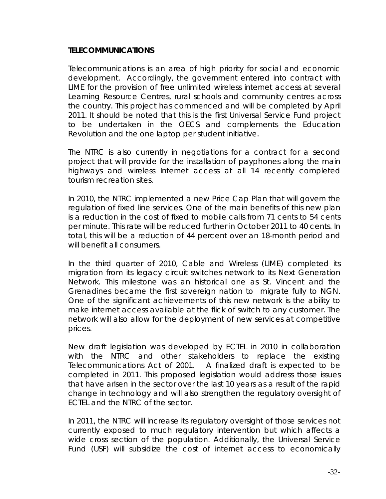#### **TELECOMMUNICATIONS**

Telecommunications is an area of high priority for social and economic development. Accordingly, the government entered into contract with LIME for the provision of free unlimited wireless internet access at several Learning Resource Centres, rural schools and community centres across the country. This project has commenced and will be completed by April 2011. It should be noted that this is the first Universal Service Fund project to be undertaken in the OECS and complements the Education Revolution and the one laptop per student initiative.

The NTRC is also currently in negotiations for a contract for a second project that will provide for the installation of payphones along the main highways and wireless Internet access at all 14 recently completed tourism recreation sites.

In 2010, the NTRC implemented a new Price Cap Plan that will govern the regulation of fixed line services. One of the main benefits of this new plan is a reduction in the cost of fixed to mobile calls from 71 cents to 54 cents per minute. This rate will be reduced further in October 2011 to 40 cents. In total, this will be a reduction of 44 percent over an 18-month period and will benefit all consumers.

In the third quarter of 2010, Cable and Wireless (LIME) completed its migration from its legacy circuit switches network to its Next Generation Network. This milestone was an historical one as St. Vincent and the Grenadines became the first sovereign nation to migrate fully to NGN. One of the significant achievements of this new network is the ability to make internet access available at the flick of switch to any customer. The network will also allow for the deployment of new services at competitive prices.

New draft legislation was developed by ECTEL in 2010 in collaboration with the NTRC and other stakeholders to replace the existing Telecommunications Act of 2001. A finalized draft is expected to be completed in 2011. This proposed legislation would address those issues that have arisen in the sector over the last 10 years as a result of the rapid change in technology and will also strengthen the regulatory oversight of ECTEL and the NTRC of the sector.

In 2011, the NTRC will increase its regulatory oversight of those services not currently exposed to much regulatory intervention but which affects a wide cross section of the population. Additionally, the Universal Service Fund (USF) will subsidize the cost of internet access to economically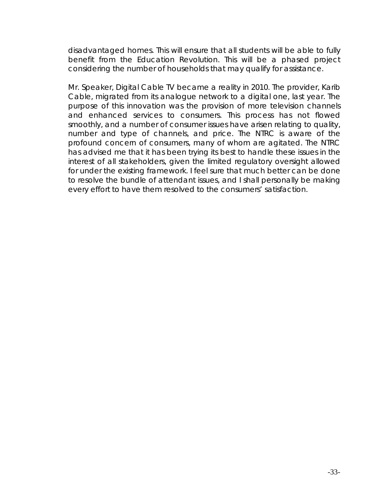disadvantaged homes. This will ensure that all students will be able to fully benefit from the Education Revolution. This will be a phased project considering the number of households that may qualify for assistance.

Mr. Speaker, Digital Cable TV became a reality in 2010. The provider, Karib Cable, migrated from its analogue network to a digital one, last year. The purpose of this innovation was the provision of more television channels and enhanced services to consumers. This process has not flowed smoothly, and a number of consumer issues have arisen relating to quality, number and type of channels, and price. The NTRC is aware of the profound concern of consumers, many of whom are agitated. The NTRC has advised me that it has been trying its best to handle these issues in the interest of all stakeholders, given the limited regulatory oversight allowed for under the existing framework. I feel sure that much better can be done to resolve the bundle of attendant issues, and I shall personally be making every effort to have them resolved to the consumers' satisfaction.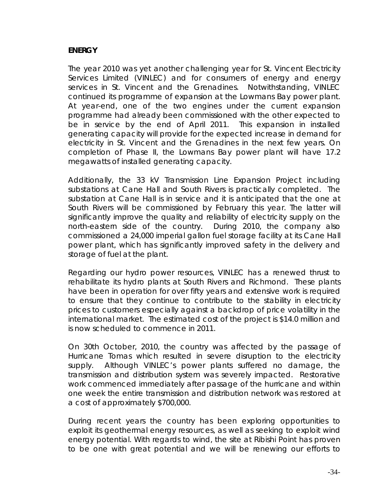## **ENERGY**

The year 2010 was yet another challenging year for St. Vincent Electricity Services Limited (VINLEC) and for consumers of energy and energy services in St. Vincent and the Grenadines. Notwithstanding, VINLEC continued its programme of expansion at the Lowmans Bay power plant. At year-end, one of the two engines under the current expansion programme had already been commissioned with the other expected to be in service by the end of April 2011. This expansion in installed generating capacity will provide for the expected increase in demand for electricity in St. Vincent and the Grenadines in the next few years. On completion of Phase II, the Lowmans Bay power plant will have 17.2 megawatts of installed generating capacity.

Additionally, the 33 kV Transmission Line Expansion Project including substations at Cane Hall and South Rivers is practically completed. The substation at Cane Hall is in service and it is anticipated that the one at South Rivers will be commissioned by February this year. The latter will significantly improve the quality and reliability of electricity supply on the north-eastern side of the country. During 2010, the company also commissioned a 24,000 imperial gallon fuel storage facility at its Cane Hall power plant, which has significantly improved safety in the delivery and storage of fuel at the plant.

Regarding our hydro power resources, VINLEC has a renewed thrust to rehabilitate its hydro plants at South Rivers and Richmond. These plants have been in operation for over fifty years and extensive work is required to ensure that they continue to contribute to the stability in electricity prices to customers especially against a backdrop of price volatility in the international market. The estimated cost of the project is \$14.0 million and is now scheduled to commence in 2011.

On 30th October, 2010, the country was affected by the passage of Hurricane Tomas which resulted in severe disruption to the electricity supply. Although VINLEC's power plants suffered no damage, the transmission and distribution system was severely impacted. Restorative work commenced immediately after passage of the hurricane and within one week the entire transmission and distribution network was restored at a cost of approximately \$700,000.

During recent years the country has been exploring opportunities to exploit its geothermal energy resources, as well as seeking to exploit wind energy potential. With regards to wind, the site at Ribishi Point has proven to be one with great potential and we will be renewing our efforts to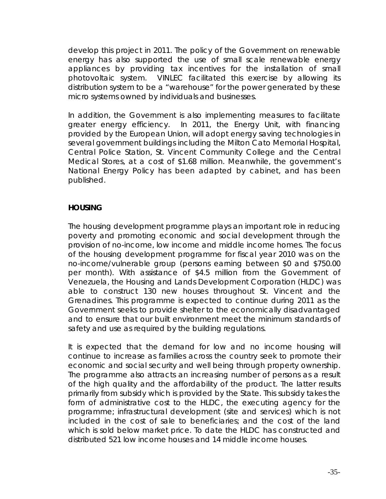develop this project in 2011. The policy of the Government on renewable energy has also supported the use of small scale renewable energy appliances by providing tax incentives for the installation of small photovoltaic system. VINLEC facilitated this exercise by allowing its distribution system to be a "warehouse" for the power generated by these micro systems owned by individuals and businesses.

In addition, the Government is also implementing measures to facilitate greater energy efficiency. In 2011, the Energy Unit, with financing provided by the European Union, will adopt energy saving technologies in several government buildings including the Milton Cato Memorial Hospital, Central Police Station, St. Vincent Community College and the Central Medical Stores, at a cost of \$1.68 million. Meanwhile, the government's National Energy Policy has been adapted by cabinet, and has been published.

## **HOUSING**

The housing development programme plays an important role in reducing poverty and promoting economic and social development through the provision of no-income, low income and middle income homes. The focus of the housing development programme for fiscal year 2010 was on the no-income/vulnerable group (persons earning between \$0 and \$750.00 per month). With assistance of \$4.5 million from the Government of Venezuela, the Housing and Lands Development Corporation (HLDC) was able to construct 130 new houses throughout St. Vincent and the Grenadines. This programme is expected to continue during 2011 as the Government seeks to provide shelter to the economically disadvantaged and to ensure that our built environment meet the minimum standards of safety and use as required by the building regulations.

It is expected that the demand for low and no income housing will continue to increase as families across the country seek to promote their economic and social security and well being through property ownership. The programme also attracts an increasing number of persons as a result of the high quality and the affordability of the product. The latter results primarily from subsidy which is provided by the State. This subsidy takes the form of administrative cost to the HLDC, the executing agency for the programme; infrastructural development (site and services) which is not included in the cost of sale to beneficiaries; and the cost of the land which is sold below market price. To date the HLDC has constructed and distributed 521 low income houses and 14 middle income houses.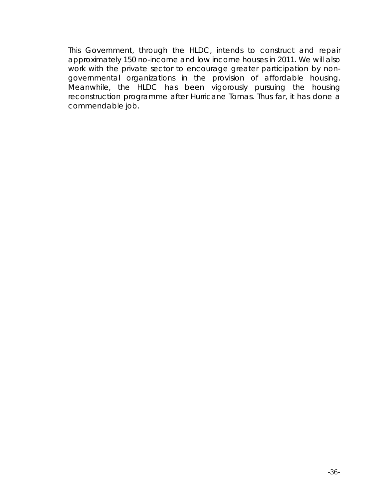This Government, through the HLDC, intends to construct and repair approximately 150 no-income and low income houses in 2011. We will also work with the private sector to encourage greater participation by nongovernmental organizations in the provision of affordable housing. Meanwhile, the HLDC has been vigorously pursuing the housing reconstruction programme after Hurricane Tomas. Thus far, it has done a commendable job.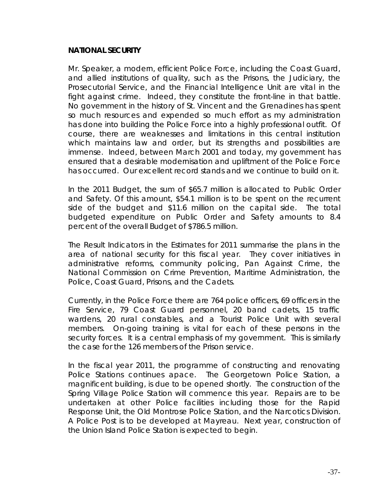#### **NATIONAL SECURITY**

Mr. Speaker, a modern, efficient Police Force, including the Coast Guard, and allied institutions of quality, such as the Prisons, the Judiciary, the Prosecutorial Service, and the Financial Intelligence Unit are vital in the fight against crime. Indeed, they constitute the front-line in that battle. No government in the history of St. Vincent and the Grenadines has spent so much resources and expended so much effort as my administration has done into building the Police Force into a highly professional outfit. Of course, there are weaknesses and limitations in this central institution which maintains law and order, but its strengths and possibilities are immense. Indeed, between March 2001 and today, my government has ensured that a desirable modernisation and upliftment of the Police Force has occurred. Our excellent record stands and we continue to build on it.

In the 2011 Budget, the sum of \$65.7 million is allocated to Public Order and Safety. Of this amount, \$54.1 million is to be spent on the recurrent side of the budget and \$11.6 million on the capital side. The total budgeted expenditure on Public Order and Safety amounts to 8.4 percent of the overall Budget of \$786.5 million.

The Result Indicators in the Estimates for 2011 summarise the plans in the area of national security for this fiscal year. They cover initiatives in administrative reforms, community policing, Pan Against Crime, the National Commission on Crime Prevention, Maritime Administration, the Police, Coast Guard, Prisons, and the Cadets.

Currently, in the Police Force there are 764 police officers, 69 officers in the Fire Service, 79 Coast Guard personnel, 20 band cadets, 15 traffic wardens, 20 rural constables, and a Tourist Police Unit with several members. On-going training is vital for each of these persons in the security forces. It is a central emphasis of my government. This is similarly the case for the 126 members of the Prison service.

In the fiscal year 2011, the programme of constructing and renovating Police Stations continues apace. The Georgetown Police Station, a magnificent building, is due to be opened shortly. The construction of the Spring Village Police Station will commence this year. Repairs are to be undertaken at other Police facilities including those for the Rapid Response Unit, the Old Montrose Police Station, and the Narcotics Division. A Police Post is to be developed at Mayreau. Next year, construction of the Union Island Police Station is expected to begin.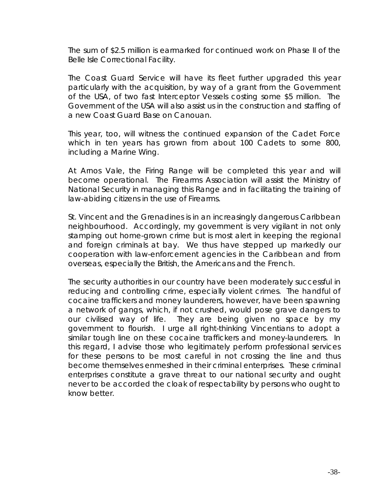The sum of \$2.5 million is earmarked for continued work on Phase II of the Belle Isle Correctional Facility.

The Coast Guard Service will have its fleet further upgraded this year particularly with the acquisition, by way of a grant from the Government of the USA, of two fast Interceptor Vessels costing some \$5 million. The Government of the USA will also assist us in the construction and staffing of a new Coast Guard Base on Canouan.

This year, too, will witness the continued expansion of the Cadet Force which in ten years has grown from about 100 Cadets to some 800, including a Marine Wing.

At Arnos Vale, the Firing Range will be completed this year and will become operational. The Firearms Association will assist the Ministry of National Security in managing this Range and in facilitating the training of law-abiding citizens in the use of Firearms.

St. Vincent and the Grenadines is in an increasingly dangerous Caribbean neighbourhood. Accordingly, my government is very vigilant in not only stamping out home-grown crime but is most alert in keeping the regional and foreign criminals at bay. We thus have stepped up markedly our cooperation with law-enforcement agencies in the Caribbean and from overseas, especially the British, the Americans and the French.

The security authorities in our country have been moderately successful in reducing and controlling crime, especially violent crimes. The handful of cocaine traffickers and money launderers, however, have been spawning a network of gangs, which, if not crushed, would pose grave dangers to our civilised way of life. They are being given no space by my government to flourish. I urge all right-thinking Vincentians to adopt a similar tough line on these cocaine traffickers and money-launderers. In this regard, I advise those who legitimately perform professional services for these persons to be most careful in not crossing the line and thus become themselves enmeshed in their criminal enterprises. These criminal enterprises constitute a grave threat to our national security and ought never to be accorded the cloak of respectability by persons who ought to know better.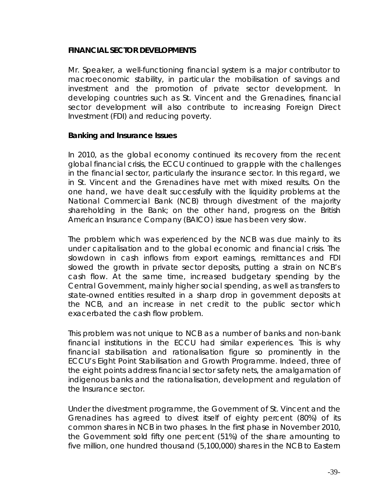### **FINANCIAL SECTOR DEVELOPMENTS**

Mr. Speaker, a well-functioning financial system is a major contributor to macroeconomic stability, in particular the mobilisation of savings and investment and the promotion of private sector development. In developing countries such as St. Vincent and the Grenadines, financial sector development will also contribute to increasing Foreign Direct Investment (FDI) and reducing poverty.

#### **Banking and Insurance Issues**

In 2010, as the global economy continued its recovery from the recent global financial crisis, the ECCU continued to grapple with the challenges in the financial sector, particularly the insurance sector. In this regard, we in St. Vincent and the Grenadines have met with mixed results. On the one hand, we have dealt successfully with the liquidity problems at the National Commercial Bank (NCB) through divestment of the majority shareholding in the Bank; on the other hand, progress on the British American Insurance Company (BAICO) issue has been very slow.

The problem which was experienced by the NCB was due mainly to its under capitalisation and to the global economic and financial crisis. The slowdown in cash inflows from export earnings, remittances and FDI slowed the growth in private sector deposits, putting a strain on NCB's cash flow. At the same time, increased budgetary spending by the Central Government, mainly higher social spending, as well as transfers to state-owned entities resulted in a sharp drop in government deposits at the NCB, and an increase in net credit to the public sector which exacerbated the cash flow problem.

This problem was not unique to NCB as a number of banks and non-bank financial institutions in the ECCU had similar experiences. This is why financial stabilisation and rationalisation figure so prominently in the ECCU's Eight Point Stabilisation and Growth Programme. Indeed, three of the eight points address financial sector safety nets, the amalgamation of indigenous banks and the rationalisation, development and regulation of the Insurance sector.

Under the divestment programme, the Government of St. Vincent and the Grenadines has agreed to divest itself of eighty percent (80%) of its common shares in NCB in two phases. In the first phase in November 2010, the Government sold fifty one percent (51%) of the share amounting to five million, one hundred thousand (5,100,000) shares in the NCB to Eastern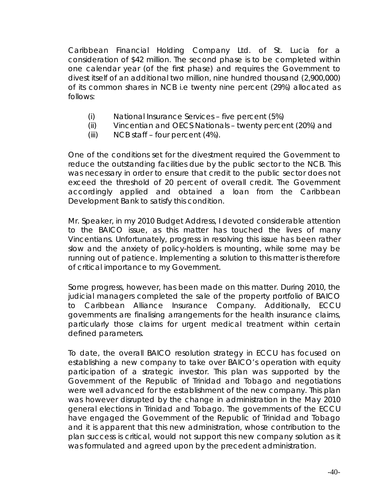Caribbean Financial Holding Company Ltd. of St. Lucia for a consideration of \$42 million. The second phase is to be completed within one calendar year (of the first phase) and requires the Government to divest itself of an additional two million, nine hundred thousand (2,900,000) of its common shares in NCB i.e twenty nine percent (29%) allocated as follows:

- (i) National Insurance Services five percent (5%)
- (ii) Vincentian and OECS Nationals twenty percent (20%) and
- (iii) NCB staff four percent (4%).

One of the conditions set for the divestment required the Government to reduce the outstanding facilities due by the public sector to the NCB. This was necessary in order to ensure that credit to the public sector does not exceed the threshold of 20 percent of overall credit. The Government accordingly applied and obtained a loan from the Caribbean Development Bank to satisfy this condition.

Mr. Speaker, in my 2010 Budget Address, I devoted considerable attention to the BAICO issue, as this matter has touched the lives of many Vincentians. Unfortunately, progress in resolving this issue has been rather slow and the anxiety of policy-holders is mounting, while some may be running out of patience. Implementing a solution to this matter is therefore of critical importance to my Government.

Some progress, however, has been made on this matter. During 2010, the judicial managers completed the sale of the property portfolio of BAICO to Caribbean Alliance Insurance Company. Additionally, ECCU governments are finalising arrangements for the health insurance claims, particularly those claims for urgent medical treatment within certain defined parameters.

To date, the overall BAICO resolution strategy in ECCU has focused on establishing a new company to take over BAICO's operation with equity participation of a strategic investor. This plan was supported by the Government of the Republic of Trinidad and Tobago and negotiations were well advanced for the establishment of the new company. This plan was however disrupted by the change in administration in the May 2010 general elections in Trinidad and Tobago. The governments of the ECCU have engaged the Government of the Republic of Trinidad and Tobago and it is apparent that this new administration, whose contribution to the plan success is critical, would not support this new company solution as it was formulated and agreed upon by the precedent administration.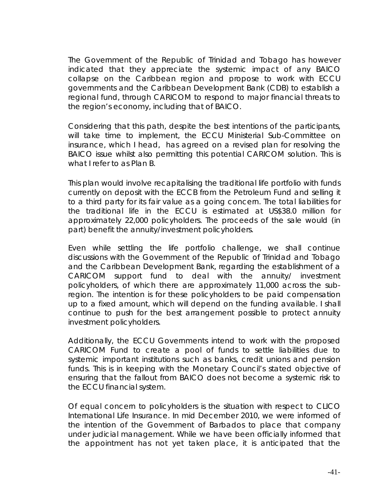The Government of the Republic of Trinidad and Tobago has however indicated that they appreciate the systemic impact of any BAICO collapse on the Caribbean region and propose to work with ECCU governments and the Caribbean Development Bank (CDB) to establish a regional fund, through CARICOM to respond to major financial threats to the region's economy, including that of BAICO.

Considering that this path, despite the best intentions of the participants, will take time to implement, the ECCU Ministerial Sub-Committee on insurance, which I head, has agreed on a revised plan for resolving the BAICO issue whilst also permitting this potential CARICOM solution. This is what I refer to as Plan B.

This plan would involve recapitalising the traditional life portfolio with funds currently on deposit with the ECCB from the Petroleum Fund and selling it to a third party for its fair value as a going concern. The total liabilities for the traditional life in the ECCU is estimated at US\$38.0 million for approximately 22,000 policyholders. The proceeds of the sale would (in part) benefit the annuity/investment policyholders.

Even while settling the life portfolio challenge, we shall continue discussions with the Government of the Republic of Trinidad and Tobago and the Caribbean Development Bank, regarding the establishment of a CARICOM support fund to deal with the annuity/ investment policyholders, of which there are approximately 11,000 across the subregion. The intention is for these policyholders to be paid compensation up to a fixed amount, which will depend on the funding available. I shall continue to push for the best arrangement possible to protect annuity investment policyholders.

Additionally, the ECCU Governments intend to work with the proposed CARICOM Fund to create a pool of funds to settle liabilities due to systemic important institutions such as banks, credit unions and pension funds. This is in keeping with the Monetary Council's stated objective of ensuring that the fallout from BAICO does not become a systemic risk to the ECCU financial system.

Of equal concern to policyholders is the situation with respect to CLICO International Life Insurance. In mid December 2010, we were informed of the intention of the Government of Barbados to place that company under judicial management. While we have been officially informed that the appointment has not yet taken place, it is anticipated that the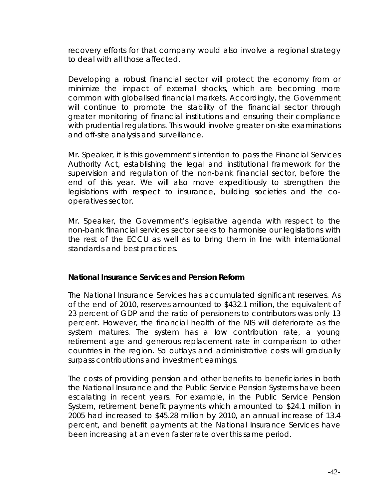recovery efforts for that company would also involve a regional strategy to deal with all those affected.

Developing a robust financial sector will protect the economy from or minimize the impact of external shocks, which are becoming more common with globalised financial markets. Accordingly, the Government will continue to promote the stability of the financial sector through greater monitoring of financial institutions and ensuring their compliance with prudential regulations. This would involve greater on-site examinations and off-site analysis and surveillance.

Mr. Speaker, it is this government's intention to pass the Financial Services Authority Act, establishing the legal and institutional framework for the supervision and regulation of the non-bank financial sector, before the end of this year. We will also move expeditiously to strengthen the legislations with respect to insurance, building societies and the cooperatives sector.

Mr. Speaker, the Government's legislative agenda with respect to the non-bank financial services sector seeks to harmonise our legislations with the rest of the ECCU as well as to bring them in line with international standards and best practices.

#### **National Insurance Services and Pension Reform**

The National Insurance Services has accumulated significant reserves. As of the end of 2010, reserves amounted to \$432.1 million, the equivalent of 23 percent of GDP and the ratio of pensioners to contributors was only 13 percent. However, the financial health of the NIS will deteriorate as the system matures. The system has a low contribution rate, a young retirement age and generous replacement rate in comparison to other countries in the region. So outlays and administrative costs will gradually surpass contributions and investment earnings.

The costs of providing pension and other benefits to beneficiaries in both the National Insurance and the Public Service Pension Systems have been escalating in recent years. For example, in the Public Service Pension System, retirement benefit payments which amounted to \$24.1 million in 2005 had increased to \$45.28 million by 2010, an annual increase of 13.4 percent, and benefit payments at the National Insurance Services have been increasing at an even faster rate over this same period.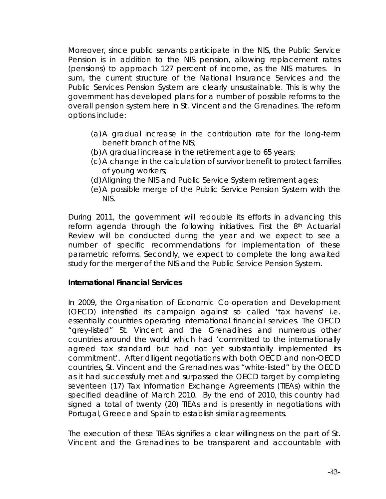Moreover, since public servants participate in the NIS, the Public Service Pension is in addition to the NIS pension, allowing replacement rates (pensions) to approach 127 percent of income, as the NIS matures. In sum, the current structure of the National Insurance Services and the Public Services Pension System are clearly unsustainable. This is why the government has developed plans for a number of possible reforms to the overall pension system here in St. Vincent and the Grenadines. The reform options include:

- (a)A gradual increase in the contribution rate for the long-term benefit branch of the NIS;
- (b)A gradual increase in the retirement age to 65 years;
- (c)A change in the calculation of survivor benefit to protect families of young workers;
- (d)Aligning the NIS and Public Service System retirement ages;
- (e)A possible merge of the Public Service Pension System with the NIS.

During 2011, the government will redouble its efforts in advancing this reform agenda through the following initiatives. First the 8<sup>th</sup> Actuarial Review will be conducted during the year and we expect to see a number of specific recommendations for implementation of these parametric reforms. Secondly, we expect to complete the long awaited study for the merger of the NIS and the Public Service Pension System.

#### **International Financial Services**

In 2009, the Organisation of Economic Co-operation and Development (OECD) intensified its campaign against so called 'tax havens' i.e. essentially countries operating international financial services. The OECD "grey-listed" St. Vincent and the Grenadines and numerous other countries around the world which had 'committed to the internationally agreed tax standard but had not yet substantially implemented its commitment'. After diligent negotiations with both OECD and non-OECD countries, St. Vincent and the Grenadines was "white-listed" by the OECD as it had successfully met and surpassed the OECD target by completing seventeen (17) Tax Information Exchange Agreements (TIEAs) within the specified deadline of March 2010. By the end of 2010, this country had signed a total of twenty (20) TIEAs and is presently in negotiations with Portugal, Greece and Spain to establish similar agreements.

The execution of these TIEAs signifies a clear willingness on the part of St. Vincent and the Grenadines to be transparent and accountable with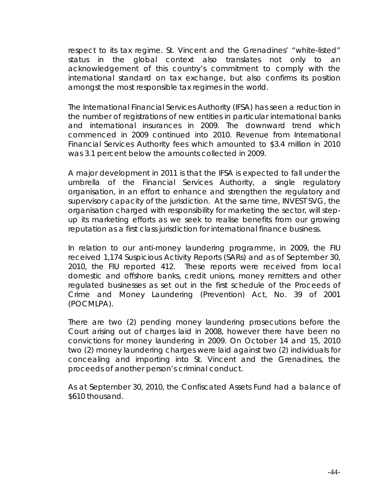respect to its tax regime. St. Vincent and the Grenadines' "white-listed" status in the global context also translates not only to an acknowledgement of this country's commitment to comply with the international standard on tax exchange, but also confirms its position amongst the most responsible tax regimes in the world.

The International Financial Services Authority (IFSA) has seen a reduction in the number of registrations of new entities in particular international banks and international insurances in 2009. The downward trend which commenced in 2009 continued into 2010. Revenue from International Financial Services Authority fees which amounted to \$3.4 million in 2010 was 3.1 percent below the amounts collected in 2009.

A major development in 2011 is that the IFSA is expected to fall under the umbrella of the Financial Services Authority, a single regulatory organisation, in an effort to enhance and strengthen the regulatory and supervisory capacity of the jurisdiction. At the same time, INVEST SVG, the organisation charged with responsibility for marketing the sector, will stepup its marketing efforts as we seek to realise benefits from our growing reputation as a first class jurisdiction for international finance business.

In relation to our anti-money laundering programme, in 2009, the FIU received 1,174 Suspicious Activity Reports (SARs) and as of September 30, 2010, the FIU reported 412. These reports were received from local domestic and offshore banks, credit unions, money remitters and other regulated businesses as set out in the first schedule of the Proceeds of Crime and Money Laundering (Prevention) Act, No. 39 of 2001 (POCMLPA).

There are two (2) pending money laundering prosecutions before the Court arising out of charges laid in 2008, however there have been no convictions for money laundering in 2009. On October 14 and 15, 2010 two (2) money laundering charges were laid against two (2) individuals for concealing and importing into St. Vincent and the Grenadines, the proceeds of another person's criminal conduct.

As at September 30, 2010, the Confiscated Assets Fund had a balance of \$610 thousand.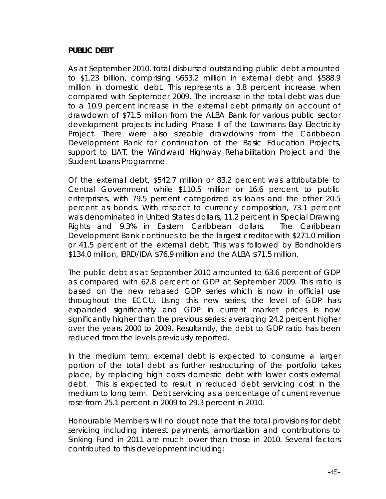#### **PUBLIC DEBT**

As at September 2010, total disbursed outstanding public debt amounted to \$1.23 billion, comprising \$653.2 million in external debt and \$588.9 million in domestic debt. This represents a 3.8 percent increase when compared with September 2009. The increase in the total debt was due to a 10.9 percent increase in the external debt primarily on account of drawdown of \$71.5 million from the ALBA Bank for various public sector development projects including Phase II of the Lowmans Bay Electricity Project. There were also sizeable drawdowns from the Caribbean Development Bank for continuation of the Basic Education Projects, support to LIAT, the Windward Highway Rehabilitation Project and the Student Loans Programme.

Of the external debt, \$542.7 million or 83.2 percent was attributable to Central Government while \$110.5 million or 16.6 percent to public enterprises, with 79.5 percent categorized as loans and the other 20.5 percent as bonds. With respect to currency composition, 73.1 percent was denominated in United States dollars, 11.2 percent in Special Drawing Rights and 9.3% in Eastern Caribbean dollars. The Caribbean Development Bank continues to be the largest creditor with \$271.0 million or 41.5 percent of the external debt. This was followed by Bondholders \$134.0 million, IBRD/IDA \$76.9 million and the ALBA \$71.5 million.

The public debt as at September 2010 amounted to 63.6 percent of GDP as compared with 62.8 percent of GDP at September 2009. This ratio is based on the new rebased GDP series which is now in official use throughout the ECCU. Using this new series, the level of GDP has expanded significantly and GDP in current market prices is now significantly higher than the previous series; averaging 24.2 percent higher over the years 2000 to 2009. Resultantly, the debt to GDP ratio has been reduced from the levels previously reported.

In the medium term, external debt is expected to consume a larger portion of the total debt as further restructuring of the portfolio takes place, by replacing high costs domestic debt with lower costs external debt. This is expected to result in reduced debt servicing cost in the medium to long term. Debt servicing as a percentage of current revenue rose from 25.1 percent in 2009 to 29.3 percent in 2010.

Honourable Members will no doubt note that the total provisions for debt servicing including interest payments, amortization and contributions to Sinking Fund in 2011 are much lower than those in 2010. Several factors contributed to this development including: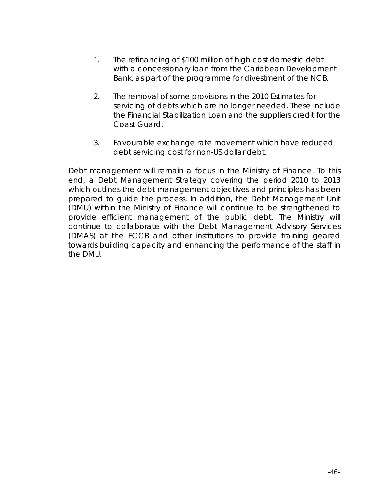- 1. The refinancing of \$100 million of high cost domestic debt with a concessionary loan from the Caribbean Development Bank, as part of the programme for divestment of the NCB.
- 2. The removal of some provisions in the 2010 Estimates for servicing of debts which are no longer needed. These include the Financial Stabilization Loan and the suppliers credit for the Coast Guard.
- 3. Favourable exchange rate movement which have reduced debt servicing cost for non-US dollar debt.

Debt management will remain a focus in the Ministry of Finance. To this end, a Debt Management Strategy covering the period 2010 to 2013 which outlines the debt management objectives and principles has been prepared to guide the process. In addition, the Debt Management Unit (DMU) within the Ministry of Finance will continue to be strengthened to provide efficient management of the public debt. The Ministry will continue to collaborate with the Debt Management Advisory Services (DMAS) at the ECCB and other institutions to provide training geared towards building capacity and enhancing the performance of the staff in the DMU.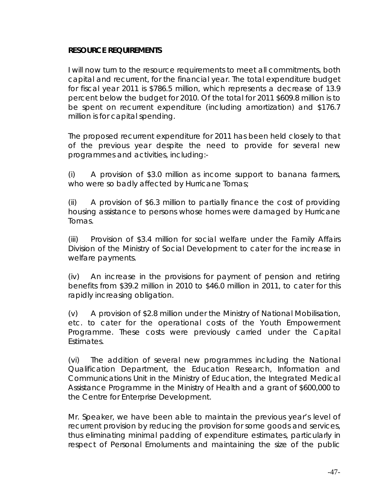#### **RESOURCE REQUIREMENTS**

I will now turn to the resource requirements to meet all commitments, both capital and recurrent, for the financial year. The total expenditure budget for fiscal year 2011 is \$786.5 million, which represents a decrease of 13.9 percent below the budget for 2010. Of the total for 2011 \$609.8 million is to be spent on recurrent expenditure (including amortization) and \$176.7 million is for capital spending.

The proposed recurrent expenditure for 2011 has been held closely to that of the previous year despite the need to provide for several new programmes and activities, including:-

(i) A provision of \$3.0 million as income support to banana farmers, who were so badly affected by Hurricane Tomas;

(ii) A provision of \$6.3 million to partially finance the cost of providing housing assistance to persons whose homes were damaged by Hurricane Tomas.

(iii) Provision of \$3.4 million for social welfare under the Family Affairs Division of the Ministry of Social Development to cater for the increase in welfare payments.

(iv) An increase in the provisions for payment of pension and retiring benefits from \$39.2 million in 2010 to \$46.0 million in 2011, to cater for this rapidly increasing obligation.

(v) A provision of \$2.8 million under the Ministry of National Mobilisation, etc. to cater for the operational costs of the Youth Empowerment Programme. These costs were previously carried under the Capital Estimates.

(vi) The addition of several new programmes including the National Qualification Department, the Education Research, Information and Communications Unit in the Ministry of Education, the Integrated Medical Assistance Programme in the Ministry of Health and a grant of \$600,000 to the Centre for Enterprise Development.

Mr. Speaker, we have been able to maintain the previous year's level of recurrent provision by reducing the provision for some goods and services, thus eliminating minimal padding of expenditure estimates, particularly in respect of Personal Emoluments and maintaining the size of the public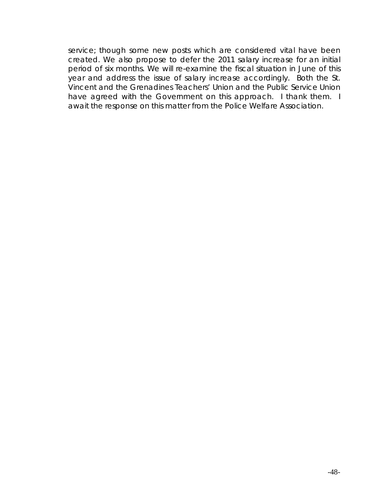service; though some new posts which are considered vital have been created. We also propose to defer the 2011 salary increase for an initial period of six months. We will re-examine the fiscal situation in June of this year and address the issue of salary increase accordingly. Both the St. Vincent and the Grenadines Teachers' Union and the Public Service Union have agreed with the Government on this approach. I thank them. I await the response on this matter from the Police Welfare Association.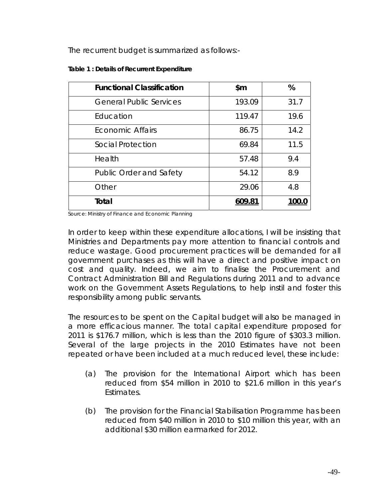The recurrent budget is summarized as follows:-

| <b>Functional Classification</b> | \$m    | %     |
|----------------------------------|--------|-------|
| <b>General Public Services</b>   | 193.09 | 31.7  |
| Education                        | 119.47 | 19.6  |
| Economic Affairs                 | 86.75  | 14.2  |
| Social Protection                | 69.84  | 11.5  |
| Health                           | 57.48  | 9.4   |
| <b>Public Order and Safety</b>   | 54.12  | 8.9   |
| Other                            | 29.06  | 4.8   |
| Total                            | 609.81 | 100.0 |

**Table 1 : Details of Recurrent Expenditure** 

Source: Ministry of Finance and Economic Planning

In order to keep within these expenditure allocations, I will be insisting that Ministries and Departments pay more attention to financial controls and reduce wastage. Good procurement practices will be demanded for all government purchases as this will have a direct and positive impact on cost and quality. Indeed, we aim to finalise the Procurement and Contract Administration Bill and Regulations during 2011 and to advance work on the Government Assets Regulations, to help instil and foster this responsibility among public servants.

The resources to be spent on the Capital budget will also be managed in a more efficacious manner. The total capital expenditure proposed for 2011 is \$176.7 million, which is less than the 2010 figure of \$303.3 million. Several of the large projects in the 2010 Estimates have not been repeated or have been included at a much reduced level, these include:

- (a) The provision for the International Airport which has been reduced from \$54 million in 2010 to \$21.6 million in this year's Estimates.
- (b) The provision for the Financial Stabilisation Programme has been reduced from \$40 million in 2010 to \$10 million this year, with an additional \$30 million earmarked for 2012.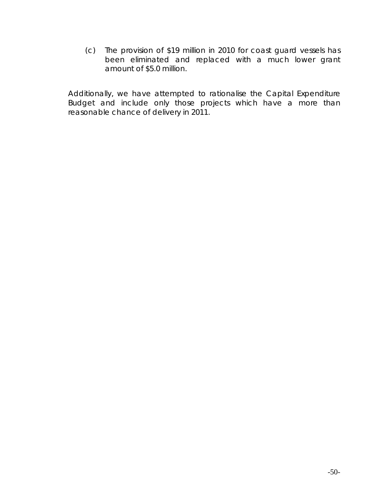(c) The provision of \$19 million in 2010 for coast guard vessels has been eliminated and replaced with a much lower grant amount of \$5.0 million.

Additionally, we have attempted to rationalise the Capital Expenditure Budget and include only those projects which have a more than reasonable chance of delivery in 2011.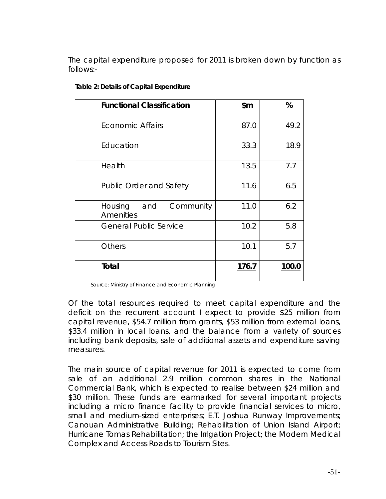The capital expenditure proposed for 2011 is broken down by function as follows:-

| <b>Functional Classification</b>         | \$m\$        | %     |
|------------------------------------------|--------------|-------|
| <b>Economic Affairs</b>                  | 87.0         | 49.2  |
| Education                                | 33.3         | 18.9  |
| Health                                   | 13.5         | 7.7   |
| <b>Public Order and Safety</b>           | 11.6         | 6.5   |
| Housing<br>and<br>Community<br>Amenities | 11.0         | 6.2   |
| <b>General Public Service</b>            | 10.2         | 5.8   |
| <b>Others</b>                            | 10.1         | 5.7   |
| Total                                    | <u>176.7</u> | 100.0 |

#### **Table 2: Details of Capital Expenditure**

Source: Ministry of Finance and Economic Planning

Of the total resources required to meet capital expenditure and the deficit on the recurrent account I expect to provide \$25 million from capital revenue, \$54.7 million from grants, \$53 million from external loans, \$33.4 million in local loans, and the balance from a variety of sources including bank deposits, sale of additional assets and expenditure saving measures.

The main source of capital revenue for 2011 is expected to come from sale of an additional 2.9 million common shares in the National Commercial Bank, which is expected to realise between \$24 million and \$30 million. These funds are earmarked for several important projects including a micro finance facility to provide financial services to micro, small and medium-sized enterprises; E.T. Joshua Runway Improvements; Canouan Administrative Building; Rehabilitation of Union Island Airport; Hurricane Tomas Rehabilitation; the Irrigation Project; the Modern Medical Complex and Access Roads to Tourism Sites.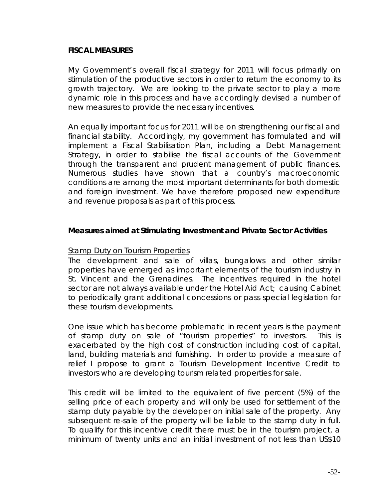#### **FISCAL MEASURES**

My Government's overall fiscal strategy for 2011 will focus primarily on stimulation of the productive sectors in order to return the economy to its growth trajectory. We are looking to the private sector to play a more dynamic role in this process and have accordingly devised a number of new measures to provide the necessary incentives.

An equally important focus for 2011 will be on strengthening our fiscal and financial stability. Accordingly, my government has formulated and will implement a Fiscal Stabilisation Plan, including a Debt Management Strategy, in order to stabilise the fiscal accounts of the Government through the transparent and prudent management of public finances. Numerous studies have shown that a country's macroeconomic conditions are among the most important determinants for both domestic and foreign investment. We have therefore proposed new expenditure and revenue proposals as part of this process.

#### **Measures aimed at Stimulating Investment and Private Sector Activities**

#### *Stamp Duty on Tourism Properties*

The development and sale of villas, bungalows and other similar properties have emerged as important elements of the tourism industry in St. Vincent and the Grenadines. The incentives required in the hotel sector are not always available under the Hotel Aid Act; causing Cabinet to periodically grant additional concessions or pass special legislation for these tourism developments.

One issue which has become problematic in recent years is the payment of stamp duty on sale of "tourism properties" to investors. This is exacerbated by the high cost of construction including cost of capital, land, building materials and furnishing. In order to provide a measure of relief I propose to grant a Tourism Development Incentive Credit to investors who are developing tourism related properties for sale.

This credit will be limited to the equivalent of five percent (5%) of the selling price of each property and will only be used for settlement of the stamp duty payable by the developer on initial sale of the property. Any subsequent re-sale of the property will be liable to the stamp duty in full. To qualify for this incentive credit there must be in the tourism project, a minimum of twenty units and an initial investment of not less than US\$10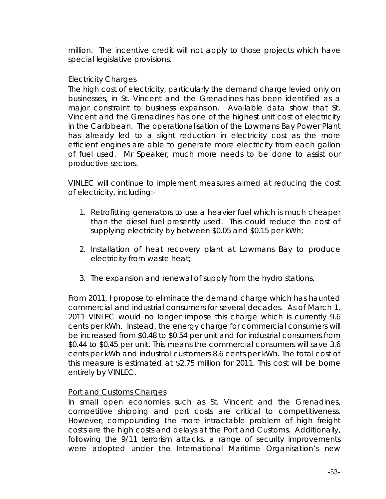million. The incentive credit will not apply to those projects which have special legislative provisions.

## *Electricity Charges*

The high cost of electricity, particularly the demand charge levied only on businesses, in St. Vincent and the Grenadines has been identified as a major constraint to business expansion. Available data show that St. Vincent and the Grenadines has one of the highest unit cost of electricity in the Caribbean. The operationalisation of the Lowmans Bay Power Plant has already led to a slight reduction in electricity cost as the more efficient engines are able to generate more electricity from each gallon of fuel used. Mr Speaker, much more needs to be done to assist our productive sectors.

VINLEC will continue to implement measures aimed at reducing the cost of electricity, including:-

- 1. Retrofitting generators to use a heavier fuel which is much cheaper than the diesel fuel presently used. This could reduce the cost of supplying electricity by between \$0.05 and \$0.15 per kWh;
- 2. Installation of heat recovery plant at Lowmans Bay to produce electricity from waste heat;
- 3. The expansion and renewal of supply from the hydro stations.

From 2011, I propose to eliminate the demand charge which has haunted commercial and industrial consumers for several decades. As of March 1, 2011 VINLEC would no longer impose this charge which is currently 9.6 cents per kWh. Instead, the energy charge for commercial consumers will be increased from \$0.48 to \$0.54 per unit and for industrial consumers from \$0.44 to \$0.45 per unit. This means the commercial consumers will save 3.6 cents per kWh and industrial customers 8.6 cents per kWh. The total cost of this measure is estimated at \$2.75 million for 2011. This cost will be borne entirely by VINLEC.

## *Port and Customs Charges*

In small open economies such as St. Vincent and the Grenadines, competitive shipping and port costs are critical to competitiveness. However, compounding the more intractable problem of high freight costs are the high costs and delays at the Port and Customs. Additionally, following the 9/11 terrorism attacks, a range of security improvements were adopted under the International Maritime Organisation's new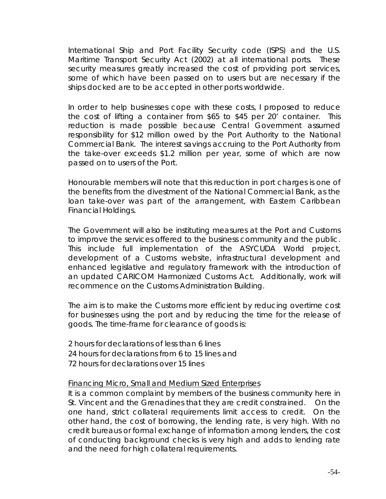International Ship and Port Facility Security code (ISPS) and the U.S. Maritime Transport Security Act (2002) at all international ports. These security measures greatly increased the cost of providing port services, some of which have been passed on to users but are necessary if the ships docked are to be accepted in other ports worldwide.

In order to help businesses cope with these costs, I proposed to reduce the cost of lifting a container from \$65 to \$45 per 20' container. This reduction is made possible because Central Government assumed responsibility for \$12 million owed by the Port Authority to the National Commercial Bank. The interest savings accruing to the Port Authority from the take-over exceeds \$1.2 million per year, some of which are now passed on to users of the Port.

Honourable members will note that this reduction in port charges is one of the benefits from the divestment of the National Commercial Bank, as the loan take-over was part of the arrangement, with Eastern Caribbean Financial Holdings.

The Government will also be instituting measures at the Port and Customs to improve the services offered to the business community and the public. This include full implementation of the ASYCUDA World project, development of a Customs website, infrastructural development and enhanced legislative and regulatory framework with the introduction of an updated CARICOM Harmonized Customs Act. Additionally, work will recommence on the Customs Administration Building.

The aim is to make the Customs more efficient by reducing overtime cost for businesses using the port and by reducing the time for the release of goods. The time-frame for clearance of goods is:

2 hours for declarations of less than 6 lines 24 hours for declarations from 6 to 15 lines and 72 hours for declarations over 15 lines

#### *Financing Micro, Small and Medium Sized Enterprises*

It is a common complaint by members of the business community here in St. Vincent and the Grenadines that they are credit constrained. On the one hand, strict collateral requirements limit access to credit. On the other hand, the cost of borrowing, the lending rate, is very high. With no credit bureaus or formal exchange of information among lenders, the cost of conducting background checks is very high and adds to lending rate and the need for high collateral requirements.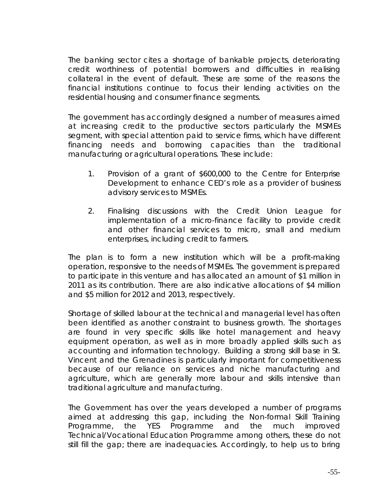The banking sector cites a shortage of bankable projects, deteriorating credit worthiness of potential borrowers and difficulties in realising collateral in the event of default. These are some of the reasons the financial institutions continue to focus their lending activities on the residential housing and consumer finance segments.

The government has accordingly designed a number of measures aimed at increasing credit to the productive sectors particularly the MSMEs segment, with special attention paid to service firms, which have different financing needs and borrowing capacities than the traditional manufacturing or agricultural operations. These include:

- 1. Provision of a grant of \$600,000 to the Centre for Enterprise Development to enhance CED's role as a provider of business advisory services to MSMEs.
- 2. Finalising discussions with the Credit Union League for implementation of a micro-finance facility to provide credit and other financial services to micro, small and medium enterprises, including credit to farmers.

The plan is to form a new institution which will be a profit-making operation, responsive to the needs of MSMEs. The government is prepared to participate in this venture and has allocated an amount of \$1 million in 2011 as its contribution. There are also indicative allocations of \$4 million and \$5 million for 2012 and 2013, respectively.

Shortage of skilled labour at the technical and managerial level has often been identified as another constraint to business growth. The shortages are found in very specific skills like hotel management and heavy equipment operation, as well as in more broadly applied skills such as accounting and information technology. Building a strong skill base in St. Vincent and the Grenadines is particularly important for competitiveness because of our reliance on services and niche manufacturing and agriculture, which are generally more labour and skills intensive than traditional agriculture and manufacturing.

The Government has over the years developed a number of programs aimed at addressing this gap, including the Non-formal Skill Training Programme, the YES Programme and the much improved Technical/Vocational Education Programme among others, these do not still fill the gap; there are inadequacies. Accordingly, to help us to bring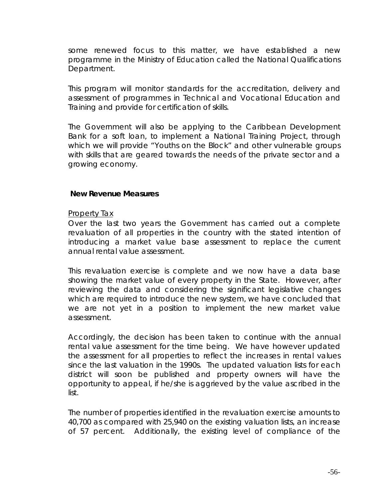some renewed focus to this matter, we have established a new programme in the Ministry of Education called the National Qualifications Department.

This program will monitor standards for the accreditation, delivery and assessment of programmes in Technical and Vocational Education and Training and provide for certification of skills.

The Government will also be applying to the Caribbean Development Bank for a soft loan, to implement a National Training Project, through which we will provide "Youths on the Block" and other vulnerable groups with skills that are geared towards the needs of the private sector and a growing economy.

#### **New Revenue Measures**

#### *Property Tax*

Over the last two years the Government has carried out a complete revaluation of all properties in the country with the stated intention of introducing a market value base assessment to replace the current annual rental value assessment.

This revaluation exercise is complete and we now have a data base showing the market value of every property in the State. However, after reviewing the data and considering the significant legislative changes which are required to introduce the new system, we have concluded that we are not yet in a position to implement the new market value assessment.

Accordingly, the decision has been taken to continue with the annual rental value assessment for the time being. We have however updated the assessment for all properties to reflect the increases in rental values since the last valuation in the 1990s. The updated valuation lists for each district will soon be published and property owners will have the opportunity to appeal, if he/she is aggrieved by the value ascribed in the list.

The number of properties identified in the revaluation exercise amounts to 40,700 as compared with 25,940 on the existing valuation lists, an increase of 57 percent. Additionally, the existing level of compliance of the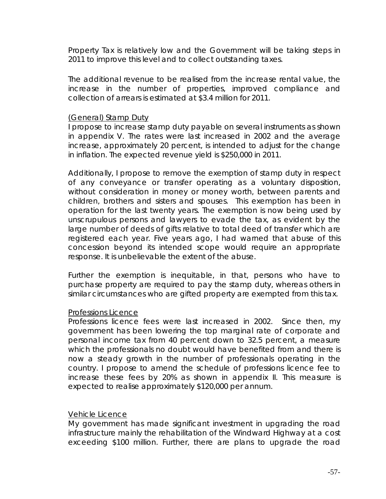Property Tax is relatively low and the Government will be taking steps in 2011 to improve this level and to collect outstanding taxes.

The additional revenue to be realised from the increase rental value, the increase in the number of properties, improved compliance and collection of arrears is estimated at \$3.4 million for 2011.

#### (General) Stamp Duty

I propose to increase stamp duty payable on several instruments as shown in appendix V. The rates were last increased in 2002 and the average increase, approximately 20 percent, is intended to adjust for the change in inflation. The expected revenue yield is \$250,000 in 2011.

Additionally, I propose to remove the exemption of stamp duty in respect of any conveyance or transfer operating as a voluntary disposition, without consideration in money or money worth, between parents and children, brothers and sisters and spouses. This exemption has been in operation for the last twenty years. The exemption is now being used by unscrupulous persons and lawyers to evade the tax, as evident by the large number of deeds of gifts relative to total deed of transfer which are registered each year. Five years ago, I had warned that abuse of this concession beyond its intended scope would require an appropriate response. It is unbelievable the extent of the abuse.

Further the exemption is inequitable, in that, persons who have to purchase property are required to pay the stamp duty, whereas others in similar circumstances who are gifted property are exempted from this tax.

## *Professions Licence*

Professions licence fees were last increased in 2002. Since then, my government has been lowering the top marginal rate of corporate and personal income tax from 40 percent down to 32.5 percent, a measure which the professionals no doubt would have benefited from and there is now a steady growth in the number of professionals operating in the country. I propose to amend the schedule of professions licence fee to increase these fees by 20% as shown in appendix II. This measure is expected to realise approximately \$120,000 per annum.

## *Vehicle Licence*

My government has made significant investment in upgrading the road infrastructure mainly the rehabilitation of the Windward Highway at a cost exceeding \$100 million. Further, there are plans to upgrade the road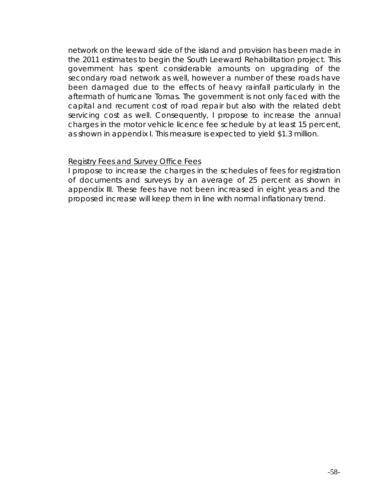network on the leeward side of the island and provision has been made in the 2011 estimates to begin the South Leeward Rehabilitation project. This government has spent considerable amounts on upgrading of the secondary road network as well, however a number of these roads have been damaged due to the effects of heavy rainfall particularly in the aftermath of hurricane Tomas. The government is not only faced with the capital and recurrent cost of road repair but also with the related debt servicing cost as well. Consequently, I propose to increase the annual charges in the motor vehicle licence fee schedule by at least 15 percent, as shown in appendix I. This measure is expected to yield \$1.3 million.

#### *Registry Fees and Survey Office Fees*

I propose to increase the charges in the schedules of fees for registration of documents and surveys by an average of 25 percent as shown in appendix III. These fees have not been increased in eight years and the proposed increase will keep them in line with normal inflationary trend.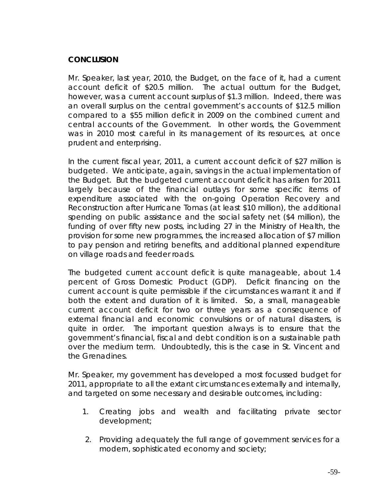## **CONCLUSION**

Mr. Speaker, last year, 2010, the Budget, on the face of it, had a current account deficit of \$20.5 million. The actual outturn for the Budget, however, was a current account surplus of \$1.3 million. Indeed, there was an overall surplus on the central government's accounts of \$12.5 million compared to a \$55 million deficit in 2009 on the combined current and central accounts of the Government. In other words, the Government was in 2010 most careful in its management of its resources, at once prudent and enterprising.

In the current fiscal year, 2011, a current account deficit of \$27 million is budgeted. We anticipate, again, savings in the actual implementation of the Budget. But the budgeted current account deficit has arisen for 2011 largely because of the financial outlays for some specific items of expenditure associated with the on-going Operation Recovery and Reconstruction after Hurricane Tomas (at least \$10 million), the additional spending on public assistance and the social safety net (\$4 million), the funding of over fifty new posts, including 27 in the Ministry of Health, the provision for some new programmes, the increased allocation of \$7 million to pay pension and retiring benefits, and additional planned expenditure on village roads and feeder roads.

The budgeted current account deficit is quite manageable, about 1.4 percent of Gross Domestic Product (GDP). Deficit financing on the current account is quite permissible if the circumstances warrant it and if both the extent and duration of it is limited. So, a small, manageable current account deficit for two or three years as a consequence of external financial and economic convulsions or of natural disasters, is quite in order. The important question always is to ensure that the government's financial, fiscal and debt condition is on a sustainable path over the medium term. Undoubtedly, this is the case in St. Vincent and the Grenadines.

Mr. Speaker, my government has developed a most focussed budget for 2011, appropriate to all the extant circumstances externally and internally, and targeted on some necessary and desirable outcomes, including:

- 1. Creating jobs and wealth and facilitating private sector development;
- 2. Providing adequately the full range of government services for a modern, sophisticated economy and society;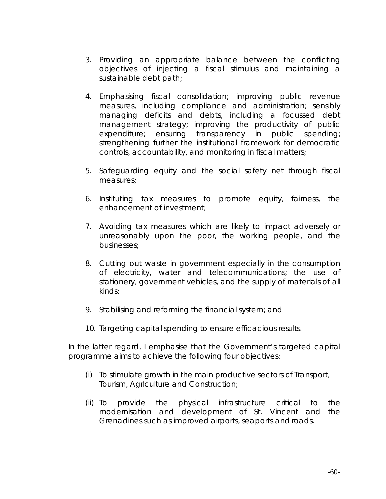- 3. Providing an appropriate balance between the conflicting objectives of injecting a fiscal stimulus and maintaining a sustainable debt path;
- 4. Emphasising fiscal consolidation; improving public revenue measures, including compliance and administration; sensibly managing deficits and debts, including a focussed debt management strategy; improving the productivity of public expenditure; ensuring transparency in public spending; strengthening further the institutional framework for democratic controls, accountability, and monitoring in fiscal matters;
- 5. Safeguarding equity and the social safety net through fiscal measures;
- 6. Instituting tax measures to promote equity, fairness, the enhancement of investment;
- 7. Avoiding tax measures which are likely to impact adversely or unreasonably upon the poor, the working people, and the businesses;
- 8. Cutting out waste in government especially in the consumption of electricity, water and telecommunications; the use of stationery, government vehicles, and the supply of materials of all kinds;
- 9. Stabilising and reforming the financial system; and
- 10. Targeting capital spending to ensure efficacious results.

In the latter regard, I emphasise that the Government's targeted capital programme aims to achieve the following four objectives:

- (i) To stimulate growth in the main productive sectors of Transport, Tourism, Agriculture and Construction;
- (ii) To provide the physical infrastructure critical to the modernisation and development of St. Vincent and the Grenadines such as improved airports, seaports and roads.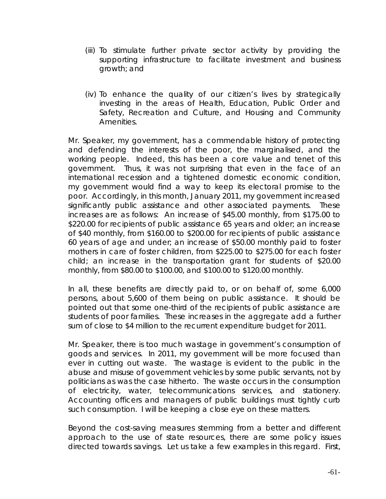- (iii) To stimulate further private sector activity by providing the supporting infrastructure to facilitate investment and business growth; and
- (iv) To enhance the quality of our citizen's lives by strategically investing in the areas of Health, Education, Public Order and Safety, Recreation and Culture, and Housing and Community Amenities.

Mr. Speaker, my government, has a commendable history of protecting and defending the interests of the poor, the marginalised, and the working people. Indeed, this has been a core value and tenet of this government. Thus, it was not surprising that even in the face of an international recession and a tightened domestic economic condition, my government would find a way to keep its electoral promise to the poor. Accordingly, in this month, January 2011, my government increased significantly public assistance and other associated payments. These increases are as follows: An increase of \$45.00 monthly, from \$175.00 to \$220.00 for recipients of public assistance 65 years and older; an increase of \$40 monthly, from \$160.00 to \$200.00 for recipients of public assistance 60 years of age and under; an increase of \$50.00 monthly paid to foster mothers in care of foster children, from \$225.00 to \$275.00 for each foster child; an increase in the transportation grant for students of \$20.00 monthly, from \$80.00 to \$100.00, and \$100.00 to \$120.00 monthly.

In all, these benefits are directly paid to, or on behalf of, some 6,000 persons, about 5,600 of them being on public assistance. It should be pointed out that some one-third of the recipients of public assistance are students of poor families. These increases in the aggregate add a further sum of close to \$4 million to the recurrent expenditure budget for 2011.

Mr. Speaker, there is too much wastage in government's consumption of goods and services. In 2011, my government will be more focused than ever in cutting out waste. The wastage is evident to the public in the abuse and misuse of government vehicles by some public servants, not by politicians as was the case hitherto. The waste occurs in the consumption of electricity, water, telecommunications services, and stationery. Accounting officers and managers of public buildings must tightly curb such consumption. I will be keeping a close eye on these matters.

Beyond the cost-saving measures stemming from a better and different approach to the use of state resources, there are some policy issues directed towards savings. Let us take a few examples in this regard. First,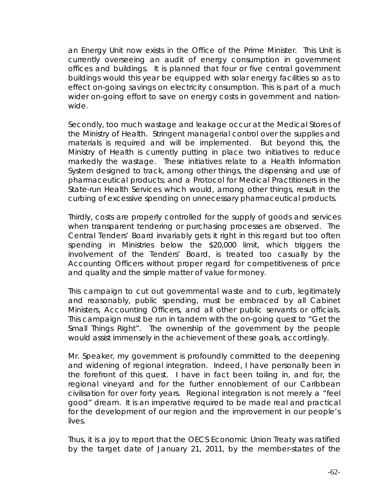an Energy Unit now exists in the Office of the Prime Minister. This Unit is currently overseeing an audit of energy consumption in government offices and buildings. It is planned that four or five central government buildings would this year be equipped with solar energy facilities so as to effect on-going savings on electricity consumption. This is part of a much wider on-going effort to save on energy costs in government and nationwide.

Secondly, too much wastage and leakage occur at the Medical Stores of the Ministry of Health. Stringent managerial control over the supplies and materials is required and will be implemented. But beyond this, the Ministry of Health is currently putting in place two initiatives to reduce markedly the wastage. These initiatives relate to a Health Information System designed to track, among other things, the dispensing and use of pharmaceutical products; and a Protocol for Medical Practitioners in the State-run Health Services which would, among other things, result in the curbing of excessive spending on unnecessary pharmaceutical products.

Thirdly, costs are properly controlled for the supply of goods and services when transparent tendering or purchasing processes are observed. The Central Tenders' Board invariably gets it right in this regard but too often spending in Ministries below the \$20,000 limit, which triggers the involvement of the Tenders' Board, is treated too casually by the Accounting Officers without proper regard for competitiveness of price and quality and the simple matter of value for money.

This campaign to cut out governmental waste and to curb, legitimately and reasonably, public spending, must be embraced by all Cabinet Ministers, Accounting Officers, and all other public servants or officials. This campaign must be run in tandem with the on-going quest to "Get the Small Things Right". The ownership of the government by the people would assist immensely in the achievement of these goals, accordingly.

Mr. Speaker, my government is profoundly committed to the deepening and widening of regional integration. Indeed, I have personally been in the forefront of this quest. I have in fact been toiling in, and for, the regional vineyard and for the further ennoblement of our Caribbean civilisation for over forty years. Regional integration is not merely a "feel good" dream. It is an imperative required to be made real and practical for the development of our region and the improvement in our people's lives.

Thus, it is a joy to report that the OECS Economic Union Treaty was ratified by the target date of January 21, 2011, by the member-states of the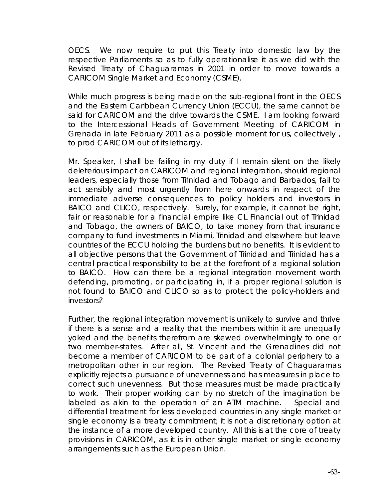OECS. We now require to put this Treaty into domestic law by the respective Parliaments so as to fully operationalise it as we did with the Revised Treaty of Chaguaramas in 2001 in order to move towards a CARICOM Single Market and Economy (CSME).

While much progress is being made on the sub-regional front in the OECS and the Eastern Caribbean Currency Union (ECCU), the same cannot be said for CARICOM and the drive towards the CSME. I am looking forward to the Intercessional Heads of Government Meeting of CARICOM in Grenada in late February 2011 as a possible moment for us, collectively , to prod CARICOM out of its lethargy.

Mr. Speaker, I shall be failing in my duty if I remain silent on the likely deleterious impact on CARICOM and regional integration, should regional leaders, especially those from Trinidad and Tobago and Barbados, fail to act sensibly and most urgently from here onwards in respect of the immediate adverse consequences to policy holders and investors in BAICO and CLICO, respectively. Surely, for example, it cannot be right, fair or reasonable for a financial empire like CL Financial out of Trinidad and Tobago, the owners of BAICO, to take money from that insurance company to fund investments in Miami, Trinidad and elsewhere but leave countries of the ECCU holding the burdens but no benefits. It is evident to all objective persons that the Government of Trinidad and Trinidad has a central practical responsibility to be at the forefront of a regional solution to BAICO. How can there be a regional integration movement worth defending, promoting, or participating in, if a proper regional solution is not found to BAICO and CLICO so as to protect the policy-holders and investors?

Further, the regional integration movement is unlikely to survive and thrive if there is a sense and a reality that the members within it are unequally yoked and the benefits therefrom are skewed overwhelmingly to one or two member-states. After all, St. Vincent and the Grenadines did not become a member of CARICOM to be part of a colonial periphery to a metropolitan other in our region. The Revised Treaty of Chaguaramas explicitly rejects a pursuance of unevenness and has measures in place to correct such unevenness. But those measures must be made practically to work. Their proper working can by no stretch of the imagination be labeled as akin to the operation of an ATM machine. Special and differential treatment for less developed countries in any single market or single economy is a treaty commitment; it is not a discretionary option at the instance of a more developed country. All this is at the core of treaty provisions in CARICOM, as it is in other single market or single economy arrangements such as the European Union.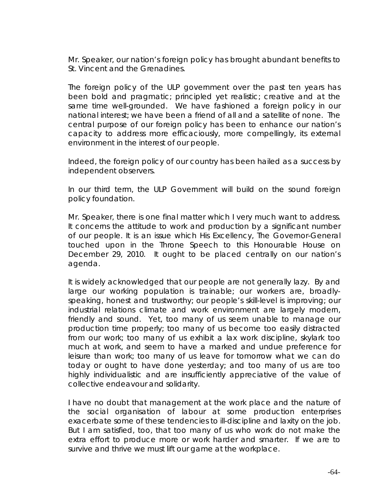Mr. Speaker, our nation's foreign policy has brought abundant benefits to St. Vincent and the Grenadines.

The foreign policy of the ULP government over the past ten years has been bold and pragmatic; principled yet realistic; creative and at the same time well-grounded. We have fashioned a foreign policy in our national interest; we have been a friend of all and a satellite of none. The central purpose of our foreign policy has been to enhance our nation's capacity to address more efficaciously, more compellingly, its external environment in the interest of our people.

Indeed, the foreign policy of our country has been hailed as a success by independent observers.

In our third term, the ULP Government will build on the sound foreign policy foundation.

Mr. Speaker, there is one final matter which I very much want to address. It concerns the attitude to work and production by a significant number of our people. It is an issue which His Excellency, The Governor-General touched upon in the Throne Speech to this Honourable House on December 29, 2010. It ought to be placed centrally on our nation's agenda.

It is widely acknowledged that our people are not generally lazy. By and large our working population is trainable; our workers are, broadlyspeaking, honest and trustworthy; our people's skill-level is improving; our industrial relations climate and work environment are largely modern, friendly and sound. Yet, too many of us seem unable to manage our production time properly; too many of us become too easily distracted from our work; too many of us exhibit a lax work discipline, skylark too much at work, and seem to have a marked and undue preference for leisure than work; too many of us leave for tomorrow what we can do today or ought to have done yesterday; and too many of us are too highly individualistic and are insufficiently appreciative of the value of collective endeavour and solidarity.

I have no doubt that management at the work place and the nature of the social organisation of labour at some production enterprises exacerbate some of these tendencies to ill-discipline and laxity on the job. But I am satisfied, too, that too many of us who work do not make the extra effort to produce more or work harder and smarter. If we are to survive and thrive we must lift our game at the workplace.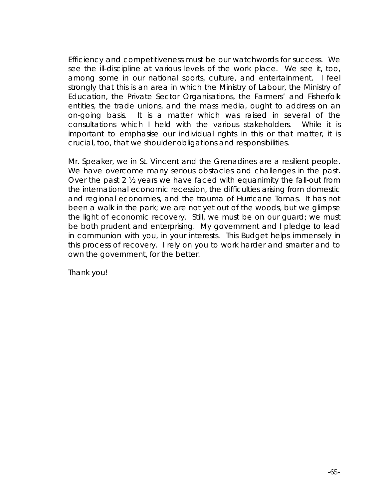Efficiency and competitiveness must be our watchwords for success. We see the ill-discipline at various levels of the work place. We see it, too, among some in our national sports, culture, and entertainment. I feel strongly that this is an area in which the Ministry of Labour, the Ministry of Education, the Private Sector Organisations, the Farmers' and Fisherfolk entities, the trade unions, and the mass media, ought to address on an on-going basis. It is a matter which was raised in several of the consultations which I held with the various stakeholders. While it is important to emphasise our individual rights in this or that matter, it is crucial, too, that we shoulder obligations and responsibilities.

Mr. Speaker, we in St. Vincent and the Grenadines are a resilient people. We have overcome many serious obstacles and challenges in the past. Over the past 2 ½ years we have faced with equanimity the fall-out from the international economic recession, the difficulties arising from domestic and regional economies, and the trauma of Hurricane Tomas. It has not been a walk in the park; we are not yet out of the woods, but we glimpse the light of economic recovery. Still, we must be on our guard; we must be both prudent and enterprising. My government and I pledge to lead in communion with you, in your interests. This Budget helps immensely in this process of recovery. I rely on you to work harder and smarter and to own the government, for the better.

Thank you!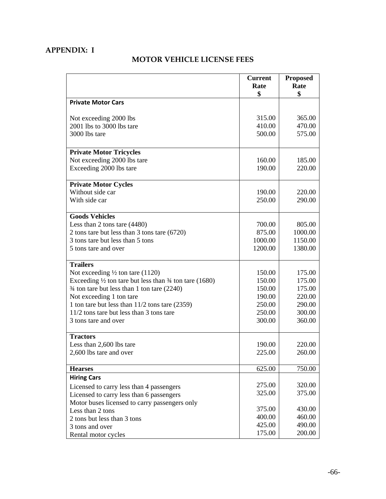## **APPENDIX: I**

## **MOTOR VEHICLE LICENSE FEES**

|                                                                              | <b>Current</b><br>Rate | <b>Proposed</b><br>Rate |
|------------------------------------------------------------------------------|------------------------|-------------------------|
|                                                                              | \$                     | \$                      |
| <b>Private Motor Cars</b>                                                    |                        |                         |
|                                                                              |                        |                         |
| Not exceeding 2000 lbs                                                       | 315.00                 | 365.00                  |
| 2001 lbs to 3000 lbs tare                                                    | 410.00                 | 470.00                  |
| 3000 lbs tare                                                                | 500.00                 | 575.00                  |
| <b>Private Motor Tricycles</b>                                               |                        |                         |
| Not exceeding 2000 lbs tare                                                  | 160.00                 | 185.00                  |
| Exceeding 2000 lbs tare                                                      | 190.00                 | 220.00                  |
|                                                                              |                        |                         |
| <b>Private Motor Cycles</b>                                                  |                        |                         |
| Without side car                                                             | 190.00                 | 220.00                  |
| With side car                                                                | 250.00                 | 290.00                  |
| <b>Goods Vehicles</b>                                                        |                        |                         |
| Less than 2 tons tare (4480)                                                 | 700.00                 | 805.00                  |
| 2 tons tare but less than 3 tons tare (6720)                                 | 875.00                 | 1000.00                 |
| 3 tons tare but less than 5 tons                                             | 1000.00                | 1150.00                 |
| 5 tons tare and over                                                         | 1200.00                | 1380.00                 |
|                                                                              |                        |                         |
| <b>Trailers</b>                                                              |                        |                         |
| Not exceeding $\frac{1}{2}$ ton tare (1120)                                  | 150.00                 | 175.00                  |
| Exceeding $\frac{1}{2}$ ton tare but less than $\frac{3}{4}$ ton tare (1680) | 150.00                 | 175.00                  |
| $\frac{3}{4}$ ton tare but less than 1 ton tare (2240)                       | 150.00                 | 175.00                  |
| Not exceeding 1 ton tare                                                     | 190.00                 | 220.00                  |
| 1 ton tare but less than $11/2$ tons tare $(2359)$                           | 250.00                 | 290.00                  |
| 11/2 tons tare but less than 3 tons tare                                     | 250.00                 | 300.00                  |
| 3 tons tare and over                                                         | 300.00                 | 360.00                  |
| <b>Tractors</b>                                                              |                        |                         |
| Less than 2,600 lbs tare                                                     | 190.00                 | 220.00                  |
| 2,600 lbs tare and over                                                      | 225.00                 | 260.00                  |
| <b>Hearses</b>                                                               | 625.00                 | 750.00                  |
| <b>Hiring Cars</b>                                                           |                        |                         |
| Licensed to carry less than 4 passengers                                     | 275.00                 | 320.00                  |
| Licensed to carry less than 6 passengers                                     | 325.00                 | 375.00                  |
| Motor buses licensed to carry passengers only                                |                        |                         |
| Less than 2 tons                                                             | 375.00                 | 430.00                  |
| 2 tons but less than 3 tons                                                  | 400.00                 | 460.00                  |
| 3 tons and over                                                              | 425.00                 | 490.00                  |
| Rental motor cycles                                                          | 175.00                 | 200.00                  |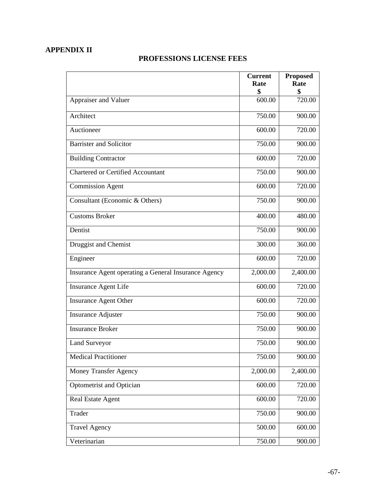## **APPENDIX II**

## **PROFESSIONS LICENSE FEES**

|                                                      | <b>Current</b><br>Rate | <b>Proposed</b><br>Rate |
|------------------------------------------------------|------------------------|-------------------------|
|                                                      | \$                     | \$                      |
| Appraiser and Valuer                                 | 600.00                 | 720.00                  |
| Architect                                            | 750.00                 | 900.00                  |
| Auctioneer                                           | 600.00                 | 720.00                  |
| <b>Barrister and Solicitor</b>                       | 750.00                 | 900.00                  |
| <b>Building Contractor</b>                           | 600.00                 | 720.00                  |
| <b>Chartered or Certified Accountant</b>             | 750.00                 | 900.00                  |
| <b>Commission Agent</b>                              | 600.00                 | 720.00                  |
| Consultant (Economic & Others)                       | 750.00                 | 900.00                  |
| <b>Customs Broker</b>                                | 400.00                 | 480.00                  |
| Dentist                                              | 750.00                 | 900.00                  |
| Druggist and Chemist                                 | 300.00                 | 360.00                  |
| Engineer                                             | 600.00                 | 720.00                  |
| Insurance Agent operating a General Insurance Agency | 2,000.00               | 2,400.00                |
| Insurance Agent Life                                 | 600.00                 | 720.00                  |
| <b>Insurance Agent Other</b>                         | 600.00                 | 720.00                  |
| <b>Insurance Adjuster</b>                            | 750.00                 | 900.00                  |
| <b>Insurance Broker</b>                              | 750.00                 | 900.00                  |
| <b>Land Surveyor</b>                                 | 750.00                 | 900.00                  |
| <b>Medical Practitioner</b>                          | 750.00                 | 900.00                  |
| Money Transfer Agency                                | 2,000.00               | 2,400.00                |
| Optometrist and Optician                             | 600.00                 | 720.00                  |
| Real Estate Agent                                    | 600.00                 | 720.00                  |
| Trader                                               | 750.00                 | 900.00                  |
| <b>Travel Agency</b>                                 | 500.00                 | 600.00                  |
| Veterinarian                                         | 750.00                 | 900.00                  |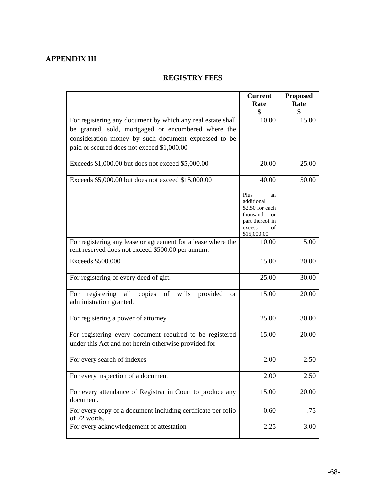## **APPENDIX III**

## **REGISTRY FEES**

|                                                                                 | <b>Current</b>              | <b>Proposed</b> |
|---------------------------------------------------------------------------------|-----------------------------|-----------------|
|                                                                                 | Rate                        | Rate            |
|                                                                                 | \$                          | \$              |
| For registering any document by which any real estate shall                     | 10.00                       | 15.00           |
| be granted, sold, mortgaged or encumbered where the                             |                             |                 |
| consideration money by such document expressed to be                            |                             |                 |
| paid or secured does not exceed \$1,000.00                                      |                             |                 |
|                                                                                 |                             |                 |
| Exceeds \$1,000.00 but does not exceed \$5,000.00                               | 20.00                       | 25.00           |
|                                                                                 |                             |                 |
| Exceeds \$5,000.00 but does not exceed \$15,000.00                              | 40.00                       | 50.00           |
|                                                                                 | Plus                        |                 |
|                                                                                 | an<br>additional            |                 |
|                                                                                 | \$2.50 for each             |                 |
|                                                                                 | thousand<br><sub>or</sub>   |                 |
|                                                                                 | part thereof in             |                 |
|                                                                                 | excess<br>of<br>\$15,000.00 |                 |
| For registering any lease or agreement for a lease where the                    | 10.00                       | 15.00           |
| rent reserved does not exceed \$500.00 per annum.                               |                             |                 |
| Exceeds \$500.000                                                               | 15.00                       | 20.00           |
|                                                                                 |                             |                 |
| For registering of every deed of gift.                                          | 25.00                       | 30.00           |
|                                                                                 |                             |                 |
| registering<br>wills<br>provided<br>all<br>copies<br>of<br>For<br><sub>or</sub> | 15.00                       | 20.00           |
| administration granted.                                                         |                             |                 |
|                                                                                 |                             |                 |
| For registering a power of attorney                                             | 25.00                       | 30.00           |
| For registering every document required to be registered                        | 15.00                       | 20.00           |
|                                                                                 |                             |                 |
| under this Act and not herein otherwise provided for                            |                             |                 |
| For every search of indexes                                                     | 2.00                        | 2.50            |
|                                                                                 |                             |                 |
| For every inspection of a document                                              | 2.00                        | 2.50            |
|                                                                                 |                             |                 |
| For every attendance of Registrar in Court to produce any                       | 15.00                       | 20.00           |
| document.                                                                       |                             |                 |
| For every copy of a document including certificate per folio                    | 0.60                        | .75             |
| of 72 words.                                                                    |                             |                 |
| For every acknowledgement of attestation                                        | 2.25                        | 3.00            |
|                                                                                 |                             |                 |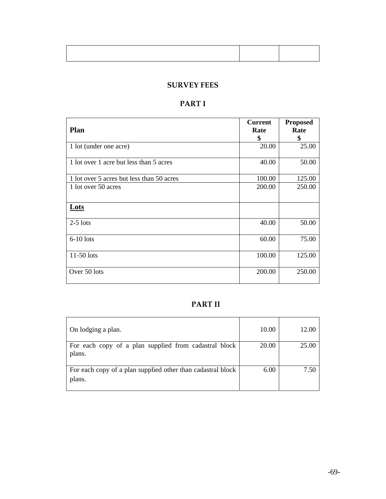## **SURVEY FEES**

# **PART I**

| <b>Plan</b>                               | <b>Current</b><br>Rate | <b>Proposed</b><br>Rate |
|-------------------------------------------|------------------------|-------------------------|
| 1 lot (under one acre)                    | \$<br>20.00            | \$<br>25.00             |
|                                           |                        |                         |
| 1 lot over 1 acre but less than 5 acres   | 40.00                  | 50.00                   |
| 1 lot over 5 acres but less than 50 acres | 100.00                 | 125.00                  |
| 1 lot over 50 acres                       | 200.00                 | 250.00                  |
|                                           |                        |                         |
| Lots                                      |                        |                         |
| $2-5$ lots                                | 40.00                  | 50.00                   |
| $6-10$ lots                               | 60.00                  | 75.00                   |
| $11-50$ lots                              | 100.00                 | 125.00                  |
| Over 50 lots                              | 200.00                 | 250.00                  |

## **PART II**

| On lodging a plan.                                                    | 10.00 | 12.00 |
|-----------------------------------------------------------------------|-------|-------|
| For each copy of a plan supplied from cadastral block<br>plans.       | 20.00 | 25.00 |
| For each copy of a plan supplied other than cadastral block<br>plans. | 6.00  | 7.50  |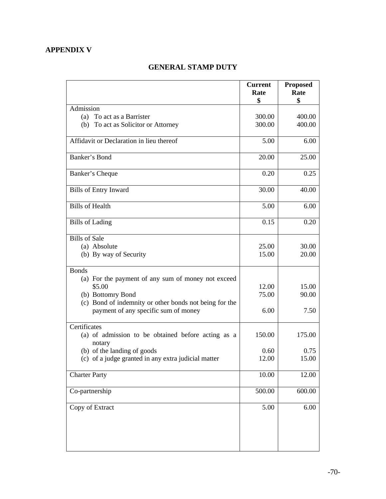## **APPENDIX V**

## **GENERAL STAMP DUTY**

|                                                                  | <b>Current</b><br>Rate | <b>Proposed</b><br>Rate |
|------------------------------------------------------------------|------------------------|-------------------------|
|                                                                  | \$                     | \$                      |
| Admission                                                        |                        |                         |
| (a) To act as a Barrister<br>(b) To act as Solicitor or Attorney | 300.00<br>300.00       | 400.00<br>400.00        |
|                                                                  |                        |                         |
| Affidavit or Declaration in lieu thereof                         | 5.00                   | 6.00                    |
| Banker's Bond                                                    | 20.00                  | 25.00                   |
| Banker's Cheque                                                  | 0.20                   | 0.25                    |
| <b>Bills of Entry Inward</b>                                     | 30.00                  | 40.00                   |
| <b>Bills of Health</b>                                           | 5.00                   | 6.00                    |
| <b>Bills</b> of Lading                                           | 0.15                   | 0.20                    |
| <b>Bills of Sale</b>                                             |                        |                         |
| (a) Absolute                                                     | 25.00                  | 30.00                   |
| (b) By way of Security                                           | 15.00                  | 20.00                   |
| <b>Bonds</b>                                                     |                        |                         |
| (a) For the payment of any sum of money not exceed               |                        |                         |
| \$5.00                                                           | 12.00                  | 15.00                   |
| (b) Bottomry Bond                                                | 75.00                  | 90.00                   |
| (c) Bond of indemnity or other bonds not being for the           |                        |                         |
| payment of any specific sum of money                             | 6.00                   | 7.50                    |
| Certificates                                                     |                        |                         |
| (a) of admission to be obtained before acting as a<br>notary     | 150.00                 | 175.00                  |
| (b) of the landing of goods                                      | 0.60                   | 0.75                    |
| (c) of a judge granted in any extra judicial matter              | 12.00                  | 15.00                   |
| <b>Charter Party</b>                                             | 10.00                  | 12.00                   |
| Co-partnership                                                   | 500.00                 | 600.00                  |
| Copy of Extract                                                  | 5.00                   | 6.00                    |
|                                                                  |                        |                         |